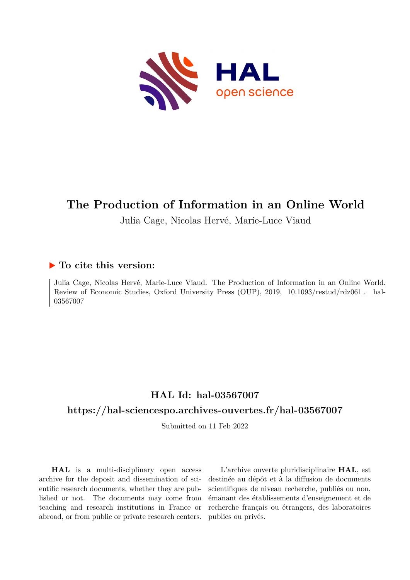

## **The Production of Information in an Online World**

Julia Cage, Nicolas Hervé, Marie-Luce Viaud

## **To cite this version:**

Julia Cage, Nicolas Hervé, Marie-Luce Viaud. The Production of Information in an Online World. Review of Economic Studies, Oxford University Press (OUP), 2019, 10.1093/restud/rdz061. hal-03567007

## **HAL Id: hal-03567007**

## **<https://hal-sciencespo.archives-ouvertes.fr/hal-03567007>**

Submitted on 11 Feb 2022

**HAL** is a multi-disciplinary open access archive for the deposit and dissemination of scientific research documents, whether they are published or not. The documents may come from teaching and research institutions in France or abroad, or from public or private research centers.

L'archive ouverte pluridisciplinaire **HAL**, est destinée au dépôt et à la diffusion de documents scientifiques de niveau recherche, publiés ou non, émanant des établissements d'enseignement et de recherche français ou étrangers, des laboratoires publics ou privés.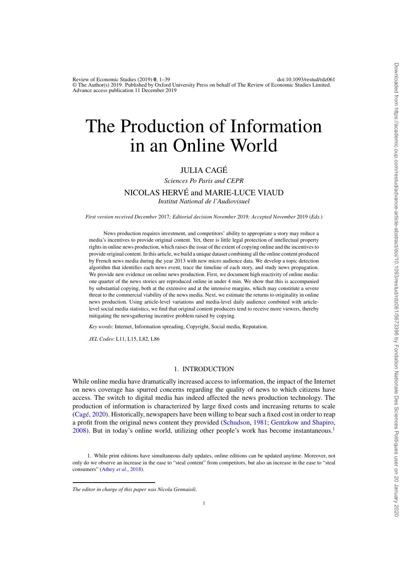Review of Economic Studies (2019) **0**, 1–39 doi:10.1093/restud/rdz061 © The Author(s) 2019. Published by Oxford University Press on behalf of The Review of Economic Studies Limited. Advance access publication 11 December 2019

# The Production of Information in an Online World

### JULIA CAGÉ

*Sciences Po Paris and CEPR*

#### NICOLAS HERVÉ and MARIE-LUCE VIAUD

*Institut National de l'Audiovisuel*

*First version received December* 2017*; Editorial decision November* 2019*; Accepted November* 2019 (*Eds.*)

News production requires investment, and competitors' ability to appropriate a story may reduce a media's incentives to provide original content. Yet, there is little legal protection of intellectual property rights in online news production, which raises the issue of the extent of copying online and the incentives to provide original content. In this article, we build a unique dataset combining all the online content produced by French news media during the year 2013 with new micro audience data. We develop a topic detection algorithm that identifies each news event, trace the timeline of each story, and study news propagation. We provide new evidence on online news production. First, we document high reactivity of online media: one quarter of the news stories are reproduced online in under 4 min. We show that this is accompanied by substantial copying, both at the extensive and at the intensive margins, which may constitute a severe threat to the commercial viability of the news media. Next, we estimate the returns to originality in online news production. Using article-level variations and media-level daily audience combined with articlelevel social media statistics, we find that original content producers tend to receive more viewers, thereby mitigating the newsgathering incentive problem raised by copying.

*Key words*: Internet, Information spreading, Copyright, Social media, Reputation.

*JEL Codes*: L11, L15, L82, L86

#### 1. INTRODUCTION

While online media have dramatically increased access to information, the impact of the Internet on news coverage has spurred concerns regarding the quality of news to which citizens have access. The switch to digital media has indeed affected the news production technology. The production of information is characterized by large fixed costs and increasing returns to scale (Cagé, 2020). Historically, newspapers have been willing to bear such a fixed cost in order to reap a profit from the original news content they provided (Schudson, 1981; Gentzkow and Shapiro,  $2008$ ). But in today's online world, utilizing other people's work has become instantaneous.<sup>1</sup>

<sup>1.</sup> While print editions have simultaneous daily updates, online editions can be updated anytime. Moreover, not only do we observe an increase in the ease to "steal content" from competitors, but also an increase in the ease to "steal consumers" (Athey *et al.*, 2018).

*The editor in charge of this paper was Nicola Gennaioli.*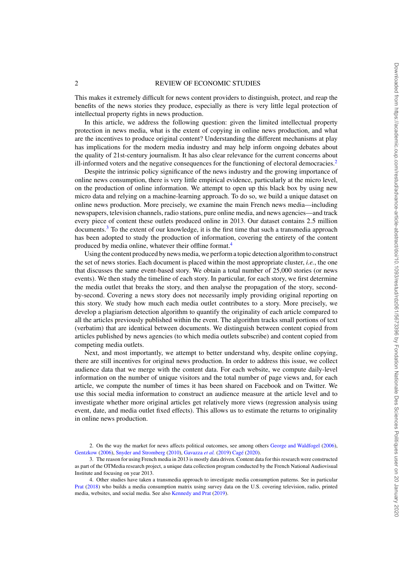This makes it extremely difficult for news content providers to distinguish, protect, and reap the benefits of the news stories they produce, especially as there is very little legal protection of intellectual property rights in news production.

In this article, we address the following question: given the limited intellectual property protection in news media, what is the extent of copying in online news production, and what are the incentives to produce original content? Understanding the different mechanisms at play has implications for the modern media industry and may help inform ongoing debates about the quality of 21st-century journalism. It has also clear relevance for the current concerns about ill-informed voters and the negative consequences for the functioning of electoral democracies.<sup>2</sup>

Despite the intrinsic policy significance of the news industry and the growing importance of online news consumption, there is very little empirical evidence, particularly at the micro level, on the production of online information. We attempt to open up this black box by using new micro data and relying on a machine-learning approach. To do so, we build a unique dataset on online news production. More precisely, we examine the main French news media—including newspapers, television channels, radio stations, pure online media, and news agencies—and track every piece of content these outlets produced online in 2013. Our dataset contains 2.5 million documents.<sup>3</sup> To the extent of our knowledge, it is the first time that such a transmedia approach has been adopted to study the production of information, covering the entirety of the content produced by media online, whatever their offline format.<sup>4</sup>

Using the content produced by news media, we perform a topic detection algorithm to construct the set of news stories. Each document is placed within the most appropriate cluster, *i.e.*, the one that discusses the same event-based story. We obtain a total number of 25,000 stories (or news events). We then study the timeline of each story. In particular, for each story, we first determine the media outlet that breaks the story, and then analyse the propagation of the story, secondby-second. Covering a news story does not necessarily imply providing original reporting on this story. We study how much each media outlet contributes to a story. More precisely, we develop a plagiarism detection algorithm to quantify the originality of each article compared to all the articles previously published within the event. The algorithm tracks small portions of text (verbatim) that are identical between documents. We distinguish between content copied from articles published by news agencies (to which media outlets subscribe) and content copied from competing media outlets.

Next, and most importantly, we attempt to better understand why, despite online copying, there are still incentives for original news production. In order to address this issue, we collect audience data that we merge with the content data. For each website, we compute daily-level information on the number of unique visitors and the total number of page views and, for each article, we compute the number of times it has been shared on Facebook and on Twitter. We use this social media information to construct an audience measure at the article level and to investigate whether more original articles get relatively more views (regression analysis using event, date, and media outlet fixed effects). This allows us to estimate the returns to originality in online news production.

<sup>2.</sup> On the way the market for news affects political outcomes, see among others George and Waldfogel (2006), Gentzkow (2006), Snyder and Stromberg (2010), Gavazza *et al.* (2019) Cagé (2020).

<sup>3.</sup> The reason for using French media in 2013 is mostly data driven. Content data for this research were constructed as part of the OTMedia research project, a unique data collection program conducted by the French National Audiovisual Institute and focusing on year 2013.

<sup>4.</sup> Other studies have taken a transmedia approach to investigate media consumption patterns. See in particular Prat (2018) who builds a media consumption matrix using survey data on the U.S. covering television, radio, printed media, websites, and social media. See also Kennedy and Prat (2019).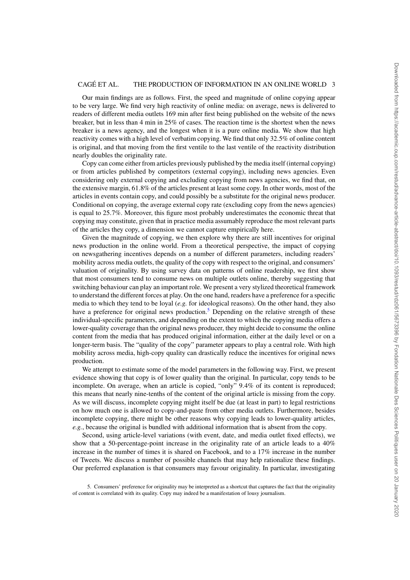Our main findings are as follows. First, the speed and magnitude of online copying appear to be very large. We find very high reactivity of online media: on average, news is delivered to readers of different media outlets 169 min after first being published on the website of the news breaker, but in less than 4 min in 25% of cases. The reaction time is the shortest when the news breaker is a news agency, and the longest when it is a pure online media. We show that high reactivity comes with a high level of verbatim copying. We find that only 32.5% of online content is original, and that moving from the first ventile to the last ventile of the reactivity distribution nearly doubles the originality rate.

Copy can come either from articles previously published by the media itself (internal copying) or from articles published by competitors (external copying), including news agencies. Even considering only external copying and excluding copying from news agencies, we find that, on the extensive margin, 61.8% of the articles present at least some copy. In other words, most of the articles in events contain copy, and could possibly be a substitute for the original news producer. Conditional on copying, the average external copy rate (excluding copy from the news agencies) is equal to 25.7%. Moreover, this figure most probably underestimates the economic threat that copying may constitute, given that in practice media assumably reproduce the most relevant parts of the articles they copy, a dimension we cannot capture empirically here.

Given the magnitude of copying, we then explore why there are still incentives for original news production in the online world. From a theoretical perspective, the impact of copying on newsgathering incentives depends on a number of different parameters, including readers' mobility across media outlets, the quality of the copy with respect to the original, and consumers' valuation of originality. By using survey data on patterns of online readership, we first show that most consumers tend to consume news on multiple outlets online, thereby suggesting that switching behaviour can play an important role. We present a very stylized theoretical framework to understand the different forces at play. On the one hand, readers have a preference for a specific media to which they tend to be loyal (*e.g.* for ideological reasons). On the other hand, they also have a preference for original news production.<sup>5</sup> Depending on the relative strength of these individual-specific parameters, and depending on the extent to which the copying media offers a lower-quality coverage than the original news producer, they might decide to consume the online content from the media that has produced original information, either at the daily level or on a longer-term basis. The "quality of the copy" parameter appears to play a central role. With high mobility across media, high-copy quality can drastically reduce the incentives for original news production.

We attempt to estimate some of the model parameters in the following way. First, we present evidence showing that copy is of lower quality than the original. In particular, copy tends to be incomplete. On average, when an article is copied, "only" 9.4% of its content is reproduced; this means that nearly nine-tenths of the content of the original article is missing from the copy. As we will discuss, incomplete copying might itself be due (at least in part) to legal restrictions on how much one is allowed to copy-and-paste from other media outlets. Furthermore, besides incomplete copying, there might be other reasons why copying leads to lower-quality articles, *e.g.*, because the original is bundled with additional information that is absent from the copy.

Second, using article-level variations (with event, date, and media outlet fixed effects), we show that a 50-percentage-point increase in the originality rate of an article leads to a 40% increase in the number of times it is shared on Facebook, and to a 17% increase in the number of Tweets. We discuss a number of possible channels that may help rationalize these findings. Our preferred explanation is that consumers may favour originality. In particular, investigating

<sup>5.</sup> Consumers' preference for originality may be interpreted as a shortcut that captures the fact that the originality of content is correlated with its quality. Copy may indeed be a manifestation of lousy journalism.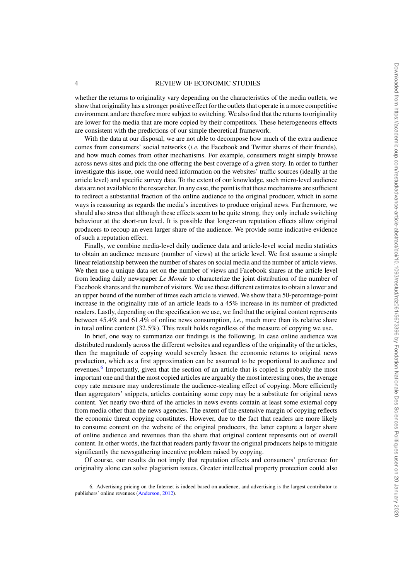whether the returns to originality vary depending on the characteristics of the media outlets, we show that originality has a stronger positive effect for the outlets that operate in a more competitive environment and are therefore more subject to switching. We also find that the returns to originality are lower for the media that are more copied by their competitors. These heterogeneous effects are consistent with the predictions of our simple theoretical framework.

With the data at our disposal, we are not able to decompose how much of the extra audience comes from consumers' social networks (*i.e.* the Facebook and Twitter shares of their friends), and how much comes from other mechanisms. For example, consumers might simply browse across news sites and pick the one offering the best coverage of a given story. In order to further investigate this issue, one would need information on the websites' traffic sources (ideally at the article level) and specific survey data. To the extent of our knowledge, such micro-level audience data are not available to the researcher. In any case, the point is that these mechanisms are sufficient to redirect a substantial fraction of the online audience to the original producer, which in some ways is reassuring as regards the media's incentives to produce original news. Furthermore, we should also stress that although these effects seem to be quite strong, they only include switching behaviour at the short-run level. It is possible that longer-run reputation effects allow original producers to recoup an even larger share of the audience. We provide some indicative evidence of such a reputation effect.

Finally, we combine media-level daily audience data and article-level social media statistics to obtain an audience measure (number of views) at the article level. We first assume a simple linear relationship between the number of shares on social media and the number of article views. We then use a unique data set on the number of views and Facebook shares at the article level from leading daily newspaper *Le Monde* to characterize the joint distribution of the number of Facebook shares and the number of visitors. We use these different estimates to obtain a lower and an upper bound of the number of times each article is viewed. We show that a 50-percentage-point increase in the originality rate of an article leads to a 45% increase in its number of predicted readers. Lastly, depending on the specification we use, we find that the original content represents between 45.4% and 61.4% of online news consumption, *i.e.*, much more than its relative share in total online content (32.5%). This result holds regardless of the measure of copying we use.

In brief, one way to summarize our findings is the following. In case online audience was distributed randomly across the different websites and regardless of the originality of the articles, then the magnitude of copying would severely lessen the economic returns to original news production, which as a first approximation can be assumed to be proportional to audience and revenues.<sup>6</sup> Importantly, given that the section of an article that is copied is probably the most important one and that the most copied articles are arguably the most interesting ones, the average copy rate measure may underestimate the audience-stealing effect of copying. More efficiently than aggregators' snippets, articles containing some copy may be a substitute for original news content. Yet nearly two-third of the articles in news events contain at least some external copy from media other than the news agencies. The extent of the extensive margin of copying reflects the economic threat copying constitutes. However, due to the fact that readers are more likely to consume content on the website of the original producers, the latter capture a larger share of online audience and revenues than the share that original content represents out of overall content. In other words, the fact that readers partly favour the original producers helps to mitigate significantly the newsgathering incentive problem raised by copying.

Of course, our results do not imply that reputation effects and consumers' preference for originality alone can solve plagiarism issues. Greater intellectual property protection could also

<sup>6.</sup> Advertising pricing on the Internet is indeed based on audience, and advertising is the largest contributor to publishers' online revenues (Anderson, 2012).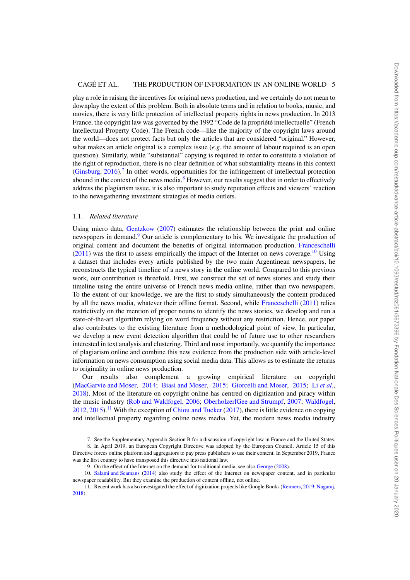play a role in raising the incentives for original news production, and we certainly do not mean to downplay the extent of this problem. Both in absolute terms and in relation to books, music, and movies, there is very little protection of intellectual property rights in news production. In 2013 France, the copyright law was governed by the 1992 "Code de la propriété intellectuelle" (French Intellectual Property Code). The French code—like the majority of the copyright laws around the world—does not protect facts but only the articles that are considered "original." However, what makes an article original is a complex issue (*e.g.* the amount of labour required is an open question). Similarly, while "substantial" copying is required in order to constitute a violation of the right of reproduction, there is no clear definition of what substantiality means in this context (Ginsburg,  $2016$ ).<sup>7</sup> In other words, opportunities for the infringement of intellectual protection abound in the context of the news media. $8$  However, our results suggest that in order to effectively address the plagiarism issue, it is also important to study reputation effects and viewers' reaction to the newsgathering investment strategies of media outlets.

#### 1.1. *Related literature*

Using micro data, Gentzkow (2007) estimates the relationship between the print and online newspapers in demand.<sup>9</sup> Our article is complementary to his. We investigate the production of original content and document the benefits of original information production. Franceschelli  $(2011)$  was the first to assess empirically the impact of the Internet on news coverage.<sup>10</sup> Using a dataset that includes every article published by the two main Argentinean newspapers, he reconstructs the typical timeline of a news story in the online world. Compared to this previous work, our contribution is threefold. First, we construct the set of news stories and study their timeline using the entire universe of French news media online, rather than two newspapers. To the extent of our knowledge, we are the first to study simultaneously the content produced by all the news media, whatever their offline format. Second, while Franceschelli (2011) relies restrictively on the mention of proper nouns to identify the news stories, we develop and run a state-of-the-art algorithm relying on word frequency without any restriction. Hence, our paper also contributes to the existing literature from a methodological point of view. In particular, we develop a new event detection algorithm that could be of future use to other researchers interested in text analysis and clustering. Third and most importantly, we quantify the importance of plagiarism online and combine this new evidence from the production side with article-level information on news consumption using social media data. This allows us to estimate the returns to originality in online news production.

Our results also complement a growing empirical literature on copyright (MacGarvie and Moser, 2014; Biasi and Moser, 2015; Giorcelli and Moser, 2015; Li *et al.*, 2018). Most of the literature on copyright online has centred on digitization and piracy within the music industry (Rob and Waldfogel, 2006; OberholzerłGee and Strumpf, 2007; Waldfogel,  $2012, 2015$ ).<sup>11</sup> With the exception of Chiou and Tucker (2017), there is little evidence on copying and intellectual property regarding online news media. Yet, the modern news media industry

<sup>7.</sup> See the Supplementary Appendix Section B for a discussion of copyright law in France and the United States.

<sup>8.</sup> In April 2019, an European Copyright Directive was adopted by the European Council. Article 15 of this Directive forces online platform and aggregators to pay press publishers to use their content. In September 2019, France was the first country to have transposed this directive into national law.

<sup>9.</sup> On the effect of the Internet on the demand for traditional media, see also George (2008).

<sup>10.</sup> Salami and Seamans (2014) also study the effect of the Internet on newspaper content, and in particular newspaper readability. But they examine the production of content offline, not online.

<sup>11.</sup> Recent work has also investigated the effect of digitization projects like Google Books (Reimers, 2019; Nagaraj, 2018).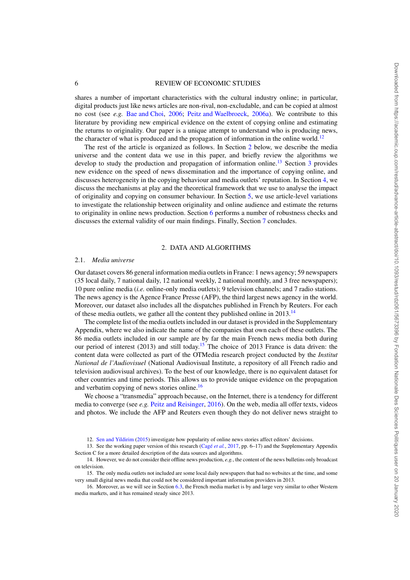shares a number of important characteristics with the cultural industry online; in particular, digital products just like news articles are non-rival, non-excludable, and can be copied at almost no cost (see *e.g.* Bae and Choi, 2006; Peitz and Waelbroeck, 2006a). We contribute to this literature by providing new empirical evidence on the extent of copying online and estimating the returns to originality. Our paper is a unique attempt to understand who is producing news, the character of what is produced and the propagation of information in the online world.<sup>12</sup>

The rest of the article is organized as follows. In Section 2 below, we describe the media universe and the content data we use in this paper, and briefly review the algorithms we develop to study the production and propagation of information online.<sup>13</sup> Section 3 provides new evidence on the speed of news dissemination and the importance of copying online, and discusses heterogeneity in the copying behaviour and media outlets' reputation. In Section 4, we discuss the mechanisms at play and the theoretical framework that we use to analyse the impact of originality and copying on consumer behaviour. In Section 5, we use article-level variations to investigate the relationship between originality and online audience and estimate the returns to originality in online news production. Section 6 performs a number of robustness checks and discusses the external validity of our main findings. Finally, Section 7 concludes.

#### 2. DATA AND ALGORITHMS

#### 2.1. *Media universe*

Our dataset covers 86 general information media outlets in France: 1 news agency; 59 newspapers (35 local daily, 7 national daily, 12 national weekly, 2 national monthly, and 3 free newspapers); 10 pure online media (*i.e.* online-only media outlets); 9 television channels; and 7 radio stations. The news agency is the Agence France Presse (AFP), the third largest news agency in the world. Moreover, our dataset also includes all the dispatches published in French by Reuters. For each of these media outlets, we gather all the content they published online in 2013.<sup>14</sup>

The complete list of the media outlets included in our dataset is provided in the Supplementary Appendix, where we also indicate the name of the companies that own each of these outlets. The 86 media outlets included in our sample are by far the main French news media both during our period of interest (2013) and still today.<sup>15</sup> The choice of 2013 France is data driven: the content data were collected as part of the OTMedia research project conducted by the *Institut National de l'Audiovisuel* (National Audiovisual Institute, a repository of all French radio and television audiovisual archives). To the best of our knowledge, there is no equivalent dataset for other countries and time periods. This allows us to provide unique evidence on the propagation and verbatim copying of news stories online.<sup>16</sup>

We choose a "transmedia" approach because, on the Internet, there is a tendency for different media to converge (see  $e.g.$  Peitz and Reisinger, 2016). On the web, media all offer texts, videos and photos. We include the AFP and Reuters even though they do not deliver news straight to

<sup>12.</sup> Sen and Yildirim (2015) investigate how popularity of online news stories affect editors' decisions.

<sup>13.</sup> See the working paper version of this research (Cagé *et al.*, 2017, pp. 6–17) and the Supplementary Appendix Section C for a more detailed description of the data sources and algorithms.

<sup>14.</sup> However, we do not consider their offline news production, *e.g.*, the content of the news bulletins only broadcast on television.

<sup>15.</sup> The only media outlets not included are some local daily newspapers that had no websites at the time, and some very small digital news media that could not be considered important information providers in 2013.

<sup>16.</sup> Moreover, as we will see in Section 6.3, the French media market is by and large very similar to other Western media markets, and it has remained steady since 2013.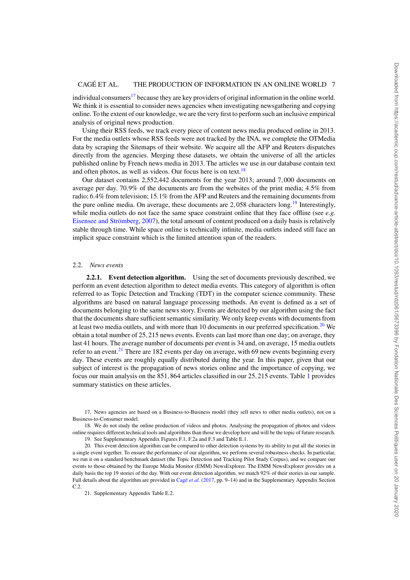individual consumers<sup>17</sup> because they are key providers of original information in the online world. We think it is essential to consider news agencies when investigating newsgathering and copying online. To the extent of our knowledge, we are the very first to perform such an inclusive empirical analysis of original news production.

Using their RSS feeds, we track every piece of content news media produced online in 2013. For the media outlets whose RSS feeds were not tracked by the INA, we complete the OTMedia data by scraping the Sitemaps of their website. We acquire all the AFP and Reuters dispatches directly from the agencies. Merging these datasets, we obtain the universe of all the articles published online by French news media in 2013. The articles we use in our database contain text and often photos, as well as videos. Our focus here is on text.<sup>18</sup>

Our dataset contains 2,552,442 documents for the year 2013; around 7,000 documents on average per day. 70.9% of the documents are from the websites of the print media; 4.5% from radio; 6.4% from television; 15.1% from the AFP and Reuters and the remaining documents from the pure online media. On average, these documents are  $2,058$  characters long.<sup>19</sup> Interestingly, while media outlets do not face the same space constraint online that they face offline (see *e.g.* Eisensee and Strömberg, 2007), the total amount of content produced on a daily basis is relatively stable through time. While space online is technically infinite, media outlets indeed still face an implicit space constraint which is the limited attention span of the readers.

#### 2.2. *News events*

**2.2.1. Event detection algorithm.** Using the set of documents previously described, we perform an event detection algorithm to detect media events. This category of algorithm is often referred to as Topic Detection and Tracking (TDT) in the computer science community. These algorithms are based on natural language processing methods. An event is defined as a set of documents belonging to the same news story. Events are detected by our algorithm using the fact that the documents share sufficient semantic similarity. We only keep events with documents from at least two media outlets, and with more than 10 documents in our preferred specification.<sup>20</sup> We obtain a total number of 25,215 news events. Events can last more than one day; on average, they last 41 hours. The average number of documents per event is 34 and, on average, 15 media outlets refer to an event.<sup>21</sup> There are 182 events per day on average, with 69 new events beginning every day. These events are roughly equally distributed during the year. In this paper, given that our subject of interest is the propagation of news stories online and the importance of copying, we focus our main analysis on the 851,864 articles classified in our 25,215 events. Table 1 provides summary statistics on these articles.

18. We do not study the online production of videos and photos. Analysing the propagation of photos and videos online requires different technical tools and algorithms than those we develop here and will be the topic of future research.

19. See Supplementary Appendix Figures F.1, F.2a and F.3 and Table E.1.

20. This event detection algorithm can be compared to other detection systems by its ability to put all the stories in a single event together. To ensure the performance of our algorithm, we perform several robustness checks. In particular, we run it on a standard benchmark dataset (the Topic Detection and Tracking Pilot Study Corpus), and we compare our events to those obtained by the Europe Media Monitor (EMM) NewsExplorer. The EMM NewsExplorer provides on a daily basis the top 19 stories of the day. With our event detection algorithm, we match 92% of their stories in our sample. Full details about the algorithm are provided in Cagé *et al.* (2017, pp. 9–14) and in the Supplementary Appendix Section C.2.

21. Supplementary Appendix Table E.2.

<sup>17.</sup> News agencies are based on a Business-to-Business model (they sell news to other media outlets), not on a Business-to-Consumer model.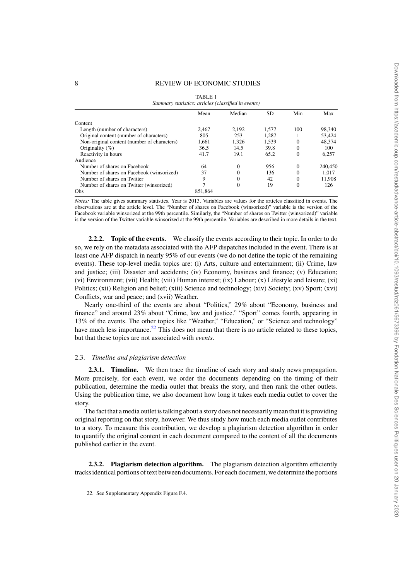| Summary statistics: articles (classified in events) | <b>TABLE 1</b> |              |       |          |         |
|-----------------------------------------------------|----------------|--------------|-------|----------|---------|
|                                                     | Mean           | Median       | SD    | Min      | Max     |
| Content                                             |                |              |       |          |         |
| Length (number of characters)                       | 2.467          | 2.192        | 1.577 | 100      | 98,340  |
| Original content (number of characters)             | 805            | 253          | 1.287 |          | 53,424  |
| Non-original content (number of characters)         | 1,661          | 1,326        | 1,539 | $\Omega$ | 48,374  |
| Originality $(\% )$                                 | 36.5           | 14.5         | 39.8  | $\Omega$ | 100     |
| Reactivity in hours                                 | 41.7           | 19.1         | 65.2  | $\Omega$ | 6,257   |
| Audience                                            |                |              |       |          |         |
| Number of shares on Facebook                        | 64             | $\mathbf{0}$ | 956   | $\theta$ | 240,450 |
| Number of shares on Facebook (winsorized)           | 37             | $\Omega$     | 136   | $\Omega$ | 1.017   |
| Number of shares on Twitter                         | 9              | $\Omega$     | 42    | $\Omega$ | 11,908  |
| Number of shares on Twitter (winsorized)            |                | 0            | 19    | 0        | 126     |
| Obs                                                 | 851.864        |              |       |          |         |

*Notes:* The table gives summary statistics. Year is 2013. Variables are values for the articles classified in events. The observations are at the article level. The "Number of shares on Facebook (winsorized)" variable is the version of the Facebook variable winsorized at the 99th percentile. Similarly, the "Number of shares on Twitter (winsorized)" variable is the version of the Twitter variable winsorized at the 99th percentile. Variables are described in more details in the text.

**2.2.2. Topic of the events.** We classify the events according to their topic. In order to do so, we rely on the metadata associated with the AFP dispatches included in the event. There is at least one AFP dispatch in nearly 95% of our events (we do not define the topic of the remaining events). These top-level media topics are: (i) Arts, culture and entertainment; (ii) Crime, law and justice; (iii) Disaster and accidents; (iv) Economy, business and finance; (v) Education; (vi) Environment; (vii) Health; (viii) Human interest; (ix) Labour; (x) Lifestyle and leisure; (xi) Politics; (xii) Religion and belief; (xiii) Science and technology; (xiv) Society; (xv) Sport; (xvi) Conflicts, war and peace; and (xvii) Weather.

Nearly one-third of the events are about "Politics," 29% about "Economy, business and finance" and around 23% about "Crime, law and justice." "Sport" comes fourth, appearing in 13% of the events. The other topics like "Weather," "Education," or "Science and technology" have much less importance.<sup>22</sup> This does not mean that there is no article related to these topics, but that these topics are not associated with *events*.

#### 2.3. *Timeline and plagiarism detection*

**2.3.1. Timeline.** We then trace the timeline of each story and study news propagation. More precisely, for each event, we order the documents depending on the timing of their publication, determine the media outlet that breaks the story, and then rank the other outlets. Using the publication time, we also document how long it takes each media outlet to cover the story.

The fact that a media outlet is talking about a story does not necessarily mean that it is providing original reporting on that story, however. We thus study how much each media outlet contributes to a story. To measure this contribution, we develop a plagiarism detection algorithm in order to quantify the original content in each document compared to the content of all the documents published earlier in the event.

**2.3.2. Plagiarism detection algorithm.** The plagiarism detection algorithm efficiently tracks identical portions of text between documents. For each document, we determine the portions

22. See Supplementary Appendix Figure F.4.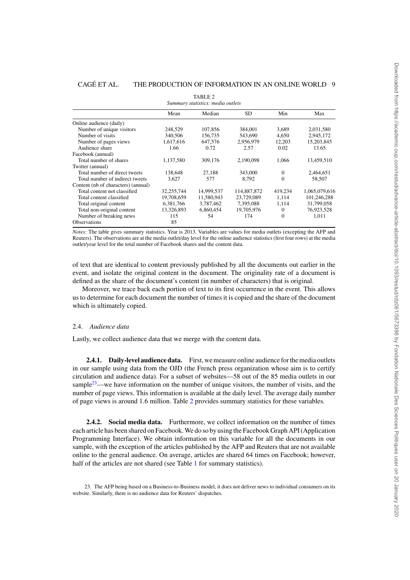|                                     |            | TABLE 2<br>Summary statistics: media outlets |             |          |               |
|-------------------------------------|------------|----------------------------------------------|-------------|----------|---------------|
|                                     | Mean       | Median                                       | <b>SD</b>   | Min      | Max           |
| Online audience (daily)             |            |                                              |             |          |               |
| Number of unique visitors           | 248.529    | 107,856                                      | 384,001     | 3.689    | 2,031,580     |
| Number of visits                    | 340,506    | 156,735                                      | 543,690     | 4,650    | 2,945,172     |
| Number of pages views               | 1,617,616  | 647,576                                      | 2,956,979   | 12,203   | 15,203,845    |
| Audience share                      | 1.66       | 0.72                                         | 2.57        | 0.02     | 13.65         |
| Facebook (annual)                   |            |                                              |             |          |               |
| Total number of shares              | 1,137,580  | 309,176                                      | 2,190,098   | 1.066    | 13,459,510    |
| Twitter (annual)                    |            |                                              |             |          |               |
| Total number of direct tweets       | 138,648    | 27,188                                       | 343,000     | $\theta$ | 2,464,651     |
| Total number of indirect tweets     | 3.627      | 577                                          | 8.792       | $\Omega$ | 58,507        |
| Content (nb of characters) (annual) |            |                                              |             |          |               |
| Total content not classified        | 32,255,744 | 14,999,537                                   | 114,887,872 | 419,234  | 1,065,079,616 |
| Total content classified            | 19,708,659 | 11,580,943                                   | 23,729,089  | 1.114    | 101,246,288   |
| Total original content              | 6,381,766  | 3,787,462                                    | 7,395,088   | 1,114    | 31,799,058    |
| Total non-original content          | 13,326,893 | 6,860,454                                    | 19,705,976  | $\theta$ | 76,923,528    |
| Number of breaking news             | 115        | 54                                           | 174         | $\theta$ | 1,011         |
| <b>Observations</b>                 | 85         |                                              |             |          |               |

*Notes:* The table gives summary statistics. Year is 2013. Variables are values for media outlets (excepting the AFP and Reuters). The observations are at the media outlet/day level for the online audience statistics (first four rows) at the media outlet/year level for the total number of Facebook shares and the content data.

of text that are identical to content previously published by all the documents out earlier in the event, and isolate the original content in the document. The originality rate of a document is defined as the share of the document's content (in number of characters) that is original.

Moreover, we trace back each portion of text to its first occurrence in the event. This allows us to determine for each document the number of times it is copied and the share of the document which is ultimately copied.

#### 2.4. *Audience data*

Lastly, we collect audience data that we merge with the content data.

**2.4.1. Daily-level audience data.** First, we measure online audience for the media outlets in our sample using data from the OJD (the French press organization whose aim is to certify circulation and audience data). For a subset of websites—58 out of the 85 media outlets in our sample<sup>23</sup>—we have information on the number of unique visitors, the number of visits, and the number of page views. This information is available at the daily level. The average daily number of page views is around 1.6 million. Table 2 provides summary statistics for these variables.

**2.4.2. Social media data.** Furthermore, we collect information on the number of times each article has been shared on Facebook. We do so by using the Facebook Graph API (Application Programming Interface). We obtain information on this variable for all the documents in our sample, with the exception of the articles published by the AFP and Reuters that are not available online to the general audience. On average, articles are shared 64 times on Facebook; however, half of the articles are not shared (see Table 1 for summary statistics).

<sup>23.</sup> The AFP being based on a Business-to-Business model, it does not deliver news to individual consumers on its website. Similarly, there is no audience data for Reuters' dispatches.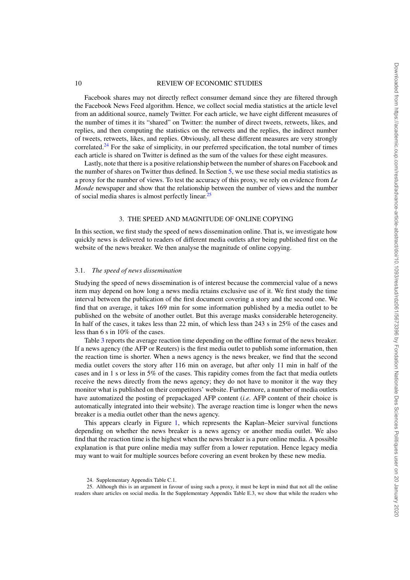Facebook shares may not directly reflect consumer demand since they are filtered through the Facebook News Feed algorithm. Hence, we collect social media statistics at the article level from an additional source, namely Twitter. For each article, we have eight different measures of the number of times it its "shared" on Twitter: the number of direct tweets, retweets, likes, and replies, and then computing the statistics on the retweets and the replies, the indirect number of tweets, retweets, likes, and replies. Obviously, all these different measures are very strongly correlated.<sup>24</sup> For the sake of simplicity, in our preferred specification, the total number of times each article is shared on Twitter is defined as the sum of the values for these eight measures.

Lastly, note that there is a positive relationship between the number of shares on Facebook and the number of shares on Twitter thus defined. In Section 5, we use these social media statistics as a proxy for the number of views. To test the accuracy of this proxy, we rely on evidence from *Le Monde* newspaper and show that the relationship between the number of views and the number of social media shares is almost perfectly linear.<sup>25</sup>

#### 3. THE SPEED AND MAGNITUDE OF ONLINE COPYING

In this section, we first study the speed of news dissemination online. That is, we investigate how quickly news is delivered to readers of different media outlets after being published first on the website of the news breaker. We then analyse the magnitude of online copying.

#### 3.1. *The speed of news dissemination*

Studying the speed of news dissemination is of interest because the commercial value of a news item may depend on how long a news media retains exclusive use of it. We first study the time interval between the publication of the first document covering a story and the second one. We find that on average, it takes 169 min for some information published by a media outlet to be published on the website of another outlet. But this average masks considerable heterogeneity. In half of the cases, it takes less than 22 min, of which less than 243 s in 25% of the cases and less than 6 s in 10% of the cases.

Table 3 reports the average reaction time depending on the offline format of the news breaker. If a news agency (the AFP or Reuters) is the first media outlet to publish some information, then the reaction time is shorter. When a news agency is the news breaker, we find that the second media outlet covers the story after 116 min on average, but after only 11 min in half of the cases and in 1 s or less in 5% of the cases. This rapidity comes from the fact that media outlets receive the news directly from the news agency; they do not have to monitor it the way they monitor what is published on their competitors' website. Furthermore, a number of media outlets have automatized the posting of prepackaged AFP content (*i.e.* AFP content of their choice is automatically integrated into their website). The average reaction time is longer when the news breaker is a media outlet other than the news agency.

This appears clearly in Figure 1, which represents the Kaplan–Meier survival functions depending on whether the news breaker is a news agency or another media outlet. We also find that the reaction time is the highest when the news breaker is a pure online media. A possible explanation is that pure online media may suffer from a lower reputation. Hence legacy media may want to wait for multiple sources before covering an event broken by these new media.

<sup>24.</sup> Supplementary Appendix Table C.1.

<sup>25.</sup> Although this is an argument in favour of using such a proxy, it must be kept in mind that not all the online readers share articles on social media. In the Supplementary Appendix Table E.3, we show that while the readers who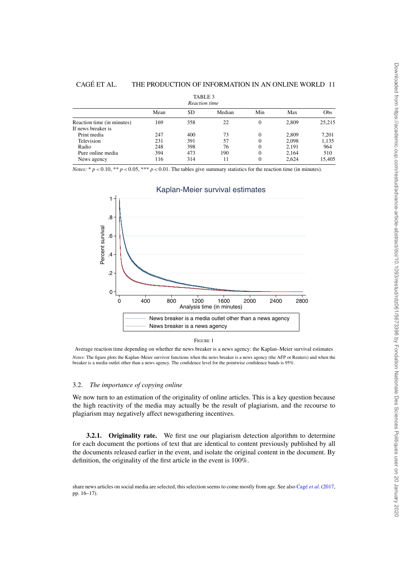|                            |      | TABLE 3<br>Reaction time |        |          |       |        |
|----------------------------|------|--------------------------|--------|----------|-------|--------|
|                            | Mean | SD                       | Median | Min      | Max   | Obs    |
| Reaction time (in minutes) | 169  | 358                      | 22     | 0        | 2.809 | 25,215 |
| If news breaker is         |      |                          |        |          |       |        |
| Print media                | 247  | 400                      | 73     | $\theta$ | 2,809 | 7,201  |
| Television                 | 231  | 391                      | 57     | 0        | 2.098 | 1,135  |
| Radio                      | 248  | 398                      | 76     | 0        | 2.191 | 964    |
| Pure online media          | 394  | 473                      | 190    | 0        | 2,164 | 510    |
| News agency                | 116  | 314                      | 11     | 0        | 2.624 | 15,405 |

*Notes:* \*  $p < 0.10$ , \*\*  $p < 0.05$ , \*\*\*  $p < 0.01$ . The tables give summary statistics for the reaction time (in minutes).



#### Kaplan-Meier survival estimates

.<br>Average reaction time depending on whether the news breaker is a news agency: the Kaplan–Meier survival estimates *Notes:* The figure plots the Kaplan–Meier survivor functions when the news breaker is a news agency (the AFP or Reuters) and when the breaker is a media outlet other than a news agency. The confidence level for the pointwise confidence bands is 95%.

#### 3.2. *The importance of copying online*

We now turn to an estimation of the originality of online articles. This is a key question because the high reactivity of the media may actually be the result of plagiarism, and the recourse to plagiarism may negatively affect newsgathering incentives.

**3.2.1.** Originality rate. We first use our plagiarism detection algorithm to determine for each document the portions of text that are identical to content previously published by all the documents released earlier in the event, and isolate the original content in the document. By definition, the originality of the first article in the event is 100%.

share news articles on social media are selected, this selection seems to come mostly from age. See also Cagé *et al.* (2017, pp. 16–17).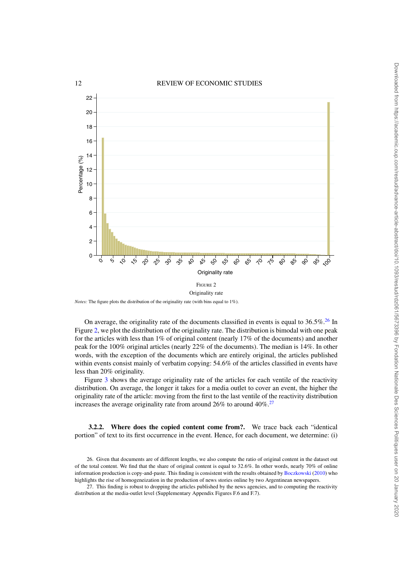

*Notes:* The figure plots the distribution of the originality rate (with bins equal to 1%).

On average, the originality rate of the documents classified in events is equal to  $36.5\%$ .<sup>26</sup> In Figure 2, we plot the distribution of the originality rate. The distribution is bimodal with one peak for the articles with less than 1% of original content (nearly 17% of the documents) and another peak for the 100% original articles (nearly 22% of the documents). The median is 14%. In other words, with the exception of the documents which are entirely original, the articles published within events consist mainly of verbatim copying: 54.6% of the articles classified in events have less than 20% originality.

Figure 3 shows the average originality rate of the articles for each ventile of the reactivity distribution. On average, the longer it takes for a media outlet to cover an event, the higher the originality rate of the article: moving from the first to the last ventile of the reactivity distribution increases the average originality rate from around  $26\%$  to around  $40\%$ .<sup>27</sup>

**3.2.2. Where does the copied content come from?.** We trace back each "identical portion" of text to its first occurrence in the event. Hence, for each document, we determine: (i)

<sup>26.</sup> Given that documents are of different lengths, we also compute the ratio of original content in the dataset out of the total content. We find that the share of original content is equal to  $32.6\%$ . In other words, nearly 70% of online information production is copy-and-paste. This finding is consistent with the results obtained by Boczkowski (2010) who highlights the rise of homogeneization in the production of news stories online by two Argentinean newspapers.

<sup>27.</sup> This finding is robust to dropping the articles published by the news agencies, and to computing the reactivity distribution at the media-outlet level (Supplementary Appendix Figures F.6 and F.7).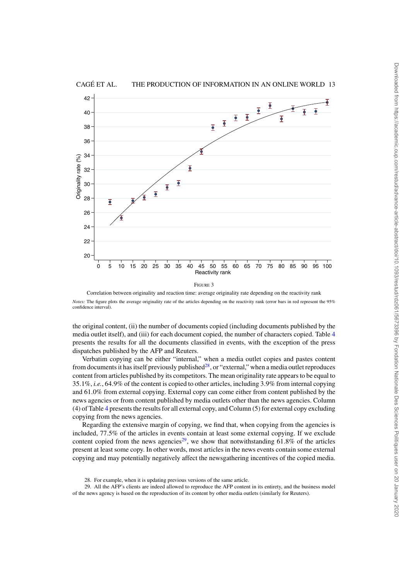

Correlation between originality and reaction time: average originality rate depending on the reactivity rank *Notes:* The figure plots the average originality rate of the articles depending on the reactivity rank (error bars in red represent the 95% confidence interval).

FIGURE 3

the original content, (ii) the number of documents copied (including documents published by the media outlet itself), and (iii) for each document copied, the number of characters copied. Table 4 presents the results for all the documents classified in events, with the exception of the press dispatches published by the AFP and Reuters.

Verbatim copying can be either "internal," when a media outlet copies and pastes content from documents it has itself previously published<sup>28</sup>, or "external," when a media outlet reproduces content from articles published by its competitors. The mean originality rate appears to be equal to 35.1%, *i.e.*, 64.9% of the content is copied to other articles, including 3.9% from internal copying and 61.0% from external copying. External copy can come either from content published by the news agencies or from content published by media outlets other than the news agencies. Column (4) of Table 4 presents the results for all external copy, and Column (5) for external copy excluding copying from the news agencies.

Regarding the extensive margin of copying, we find that, when copying from the agencies is included, 77.5% of the articles in events contain at least some external copying. If we exclude content copied from the news agencies<sup>29</sup>, we show that notwithstanding  $61.8\%$  of the articles present at least some copy. In other words, most articles in the news events contain some external copying and may potentially negatively affect the newsgathering incentives of the copied media.

<sup>28.</sup> For example, when it is updating previous versions of the same article.

<sup>29.</sup> All the AFP's clients are indeed allowed to reproduce the AFP content in its entirety, and the business model of the news agency is based on the reproduction of its content by other media outlets (similarly for Reuters).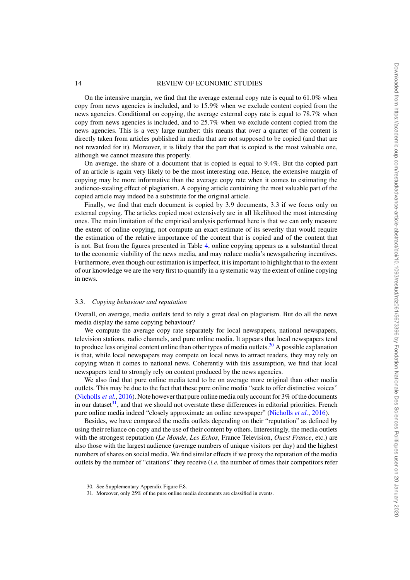On the intensive margin, we find that the average external copy rate is equal to  $61.0\%$  when copy from news agencies is included, and to 15.9% when we exclude content copied from the news agencies. Conditional on copying, the average external copy rate is equal to 78.7% when copy from news agencies is included, and to 25.7% when we exclude content copied from the news agencies. This is a very large number: this means that over a quarter of the content is directly taken from articles published in media that are not supposed to be copied (and that are not rewarded for it). Moreover, it is likely that the part that is copied is the most valuable one, although we cannot measure this properly.

On average, the share of a document that is copied is equal to 9.4%. But the copied part of an article is again very likely to be the most interesting one. Hence, the extensive margin of copying may be more informative than the average copy rate when it comes to estimating the audience-stealing effect of plagiarism. A copying article containing the most valuable part of the copied article may indeed be a substitute for the original article.

Finally, we find that each document is copied by 3.9 documents, 3.3 if we focus only on external copying. The articles copied most extensively are in all likelihood the most interesting ones. The main limitation of the empirical analysis performed here is that we can only measure the extent of online copying, not compute an exact estimate of its severity that would require the estimation of the relative importance of the content that is copied and of the content that is not. But from the figures presented in Table 4, online copying appears as a substantial threat to the economic viability of the news media, and may reduce media's newsgathering incentives. Furthermore, even though our estimation is imperfect, it is important to highlight that to the extent of our knowledge we are the very first to quantify in a systematic way the extent of online copying in news.

#### 3.3. *Copying behaviour and reputation*

Overall, on average, media outlets tend to rely a great deal on plagiarism. But do all the news media display the same copying behaviour?

We compute the average copy rate separately for local newspapers, national newspapers, television stations, radio channels, and pure online media. It appears that local newspapers tend to produce less original content online than other types of media outlets.<sup>30</sup> A possible explanation is that, while local newspapers may compete on local news to attract readers, they may rely on copying when it comes to national news. Coherently with this assumption, we find that local newspapers tend to strongly rely on content produced by the news agencies.

We also find that pure online media tend to be on average more original than other media outlets. This may be due to the fact that these pure online media "seek to offer distinctive voices" (Nicholls *et al.*, 2016). Note however that pure online media only account for 3% of the documents in our dataset $31$ , and that we should not overstate these differences in editorial priorities. French pure online media indeed "closely approximate an online newspaper" (Nicholls *et al.*, 2016).

Besides, we have compared the media outlets depending on their "reputation" as defined by using their reliance on copy and the use of their content by others. Interestingly, the media outlets with the strongest reputation (*Le Monde*, *Les Echos*, France Television, *Ouest France*, etc.) are also those with the largest audience (average numbers of unique visitors per day) and the highest numbers of shares on social media. We find similar effects if we proxy the reputation of the media outlets by the number of "citations" they receive (*i.e.* the number of times their competitors refer

<sup>30.</sup> See Supplementary Appendix Figure F.8.

<sup>31.</sup> Moreover, only 25% of the pure online media documents are classified in events.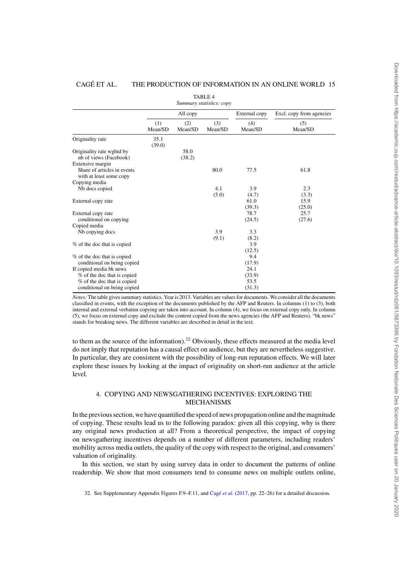|                                                                            |                |                | <b>TABLE 4</b><br>Summary statistics: copy |                |                          |
|----------------------------------------------------------------------------|----------------|----------------|--------------------------------------------|----------------|--------------------------|
|                                                                            |                | All copy       |                                            | External copy  | Excl. copy from agencies |
|                                                                            | (1)<br>Mean/SD | (2)<br>Mean/SD | (3)<br>Mean/SD                             | (4)<br>Mean/SD | (5)<br>Mean/SD           |
| Originality rate                                                           | 35.1<br>(39.0) |                |                                            |                |                          |
| Originality rate wghtd by<br>nb of views (Facebook)                        |                | 58.0<br>(38.2) |                                            |                |                          |
| Extensive margin<br>Share of articles in events<br>with at least some copy |                |                | 80.0                                       | 77.5           | 61.8                     |
| Copying media                                                              |                |                |                                            |                |                          |
| Nb docs copied                                                             |                |                | 4.1                                        | 3.9            | 2.3                      |
|                                                                            |                |                | (5.0)                                      | (4.7)          | (3.3)                    |
| External copy rate                                                         |                |                |                                            | 61.0           | 15.9                     |
|                                                                            |                |                |                                            | (39.3)         | (25.0)                   |
| External copy rate<br>conditional on copying                               |                |                |                                            | 78.7<br>(24.5) | 25.7<br>(27.6)           |
| Copied media                                                               |                |                |                                            |                |                          |
| Nb copying docs                                                            |                |                | 3.9                                        | 3.3            |                          |
|                                                                            |                |                | (9.1)                                      | (8.2)          |                          |
| % of the doc that is copied                                                |                |                |                                            | 3.9            |                          |
|                                                                            |                |                |                                            | (12.5)         |                          |
| % of the doc that is copied                                                |                |                |                                            | 9.4            |                          |
| conditional on being copied                                                |                |                |                                            | (17.9)         |                          |
| If copied media bk news                                                    |                |                |                                            | 24.1           |                          |
| % of the doc that is copied                                                |                |                |                                            | (33.9)         |                          |
| % of the doc that is copied                                                |                |                |                                            | 53.5           |                          |
| conditional on being copied                                                |                |                |                                            | (31.3)         |                          |

*Notes:* The table gives summary statistics. Year is 2013. Variables are values for documents. We consider all the documents classified in events, with the exception of the documents published by the AFP and Reuters. In columns (1) to (3), both internal and external verbatim copying are taken into account. In column (4), we focus on external copy only. In column (5), we focus on external copy and exclude the content copied from the news agencies (the AFP and Reuters). "bk news" stands for breaking news. The different variables are described in detail in the text.

to them as the source of the information).<sup>32</sup> Obviously, these effects measured at the media level do not imply that reputation has a causal effect on audience, but they are nevertheless suggestive. In particular, they are consistent with the possibility of long-run reputation effects. We will later explore these issues by looking at the impact of originality on short-run audience at the article level.

#### 4. COPYING AND NEWSGATHERING INCENTIVES: EXPLORING THE MECHANISMS

In the previous section, we have quantified the speed of news propagation online and the magnitude of copying. These results lead us to the following paradox: given all this copying, why is there any original news production at all? From a theoretical perspective, the impact of copying on newsgathering incentives depends on a number of different parameters, including readers' mobility across media outlets, the quality of the copy with respect to the original, and consumers' valuation of originality.

In this section, we start by using survey data in order to document the patterns of online readership. We show that most consumers tend to consume news on multiple outlets online,

32. See Supplementary Appendix Figures F.9–F.11, and Cagé *et al.* (2017, pp. 22–26) for a detailed discussion.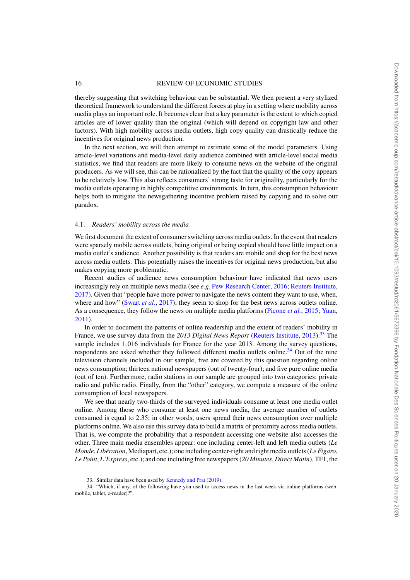thereby suggesting that switching behaviour can be substantial. We then present a very stylized theoretical framework to understand the different forces at play in a setting where mobility across media plays an important role. It becomes clear that a key parameter is the extent to which copied articles are of lower quality than the original (which will depend on copyright law and other factors). With high mobility across media outlets, high copy quality can drastically reduce the incentives for original news production.

In the next section, we will then attempt to estimate some of the model parameters. Using article-level variations and media-level daily audience combined with article-level social media statistics, we find that readers are more likely to consume news on the website of the original producers. As we will see, this can be rationalized by the fact that the quality of the copy appears to be relatively low. This also reflects consumers' strong taste for originality, particularly for the media outlets operating in highly competitive environments. In turn, this consumption behaviour helps both to mitigate the newsgathering incentive problem raised by copying and to solve our paradox.

#### 4.1. *Readers' mobility across the media*

We first document the extent of consumer switching across media outlets. In the event that readers were sparsely mobile across outlets, being original or being copied should have little impact on a media outlet's audience. Another possibility is that readers are mobile and shop for the best news across media outlets. This potentially raises the incentives for original news production, but also makes copying more problematic.

Recent studies of audience news consumption behaviour have indicated that news users increasingly rely on multiple news media (see *e.g.* Pew Research Center, 2016; Reuters Institute, 2017). Given that "people have more power to navigate the news content they want to use, when, where and how" (Swart *et al.*, 2017), they seem to shop for the best news across outlets online. As a consequence, they follow the news on multiple media platforms (Picone *et al.*, 2015; Yuan, 2011).

In order to document the patterns of online readership and the extent of readers' mobility in France, we use survey data from the *2013 Digital News Report* (Reuters Institute, 2013).<sup>33</sup> The sample includes 1,016 individuals for France for the year 2013. Among the survey questions, respondents are asked whether they followed different media outlets online. $34$  Out of the nine television channels included in our sample, five are covered by this question regarding online news consumption; thirteen national newspapers (out of twenty-four); and five pure online media (out of ten). Furthermore, radio stations in our sample are grouped into two categories: private radio and public radio. Finally, from the "other" category, we compute a measure of the online consumption of local newspapers.

We see that nearly two-thirds of the surveyed individuals consume at least one media outlet online. Among those who consume at least one news media, the average number of outlets consumed is equal to 2.35; in other words, users spread their news consumption over multiple platforms online. We also use this survey data to build a matrix of proximity across media outlets. That is, we compute the probability that a respondent accessing one website also accesses the other. Three main media ensembles appear: one including center-left and left media outlets (*Le Monde*, *Libération*, Mediapart, etc.); one including center-right and right media outlets (*Le Figaro*, *Le Point*, *L'Express*, etc.); and one including free newspapers (*20 Minutes*, *Direct Matin*), TF1, the

34. "Which, if any, of the following have you used to access news in the last week via online platforms (web, mobile, tablet, e-reader)?".

<sup>33.</sup> Similar data have been used by Kennedy and Prat (2019).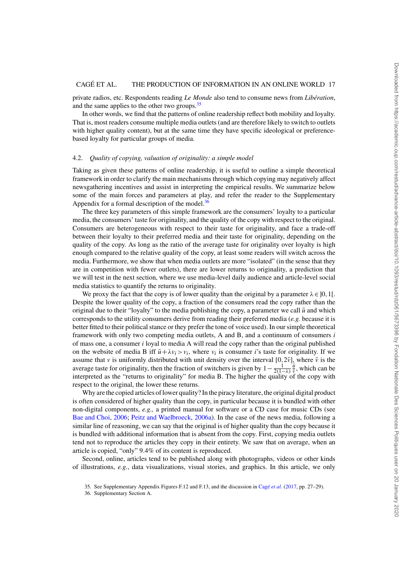private radios, etc. Respondents reading *Le Monde* also tend to consume news from *Libération*, and the same applies to the other two groups.<sup>35</sup>

In other words, we find that the patterns of online readership reflect both mobility and loyalty. That is, most readers consume multiple media outlets (and are therefore likely to switch to outlets with higher quality content), but at the same time they have specific ideological or preferencebased loyalty for particular groups of media.

#### 4.2. *Quality of copying, valuation of originality: a simple model*

Taking as given these patterns of online readership, it is useful to outline a simple theoretical framework in order to clarify the main mechanisms through which copying may negatively affect newsgathering incentives and assist in interpreting the empirical results. We summarize below some of the main forces and parameters at play, and refer the reader to the Supplementary Appendix for a formal description of the model. $36$ 

The three key parameters of this simple framework are the consumers' loyalty to a particular media, the consumers' taste for originality, and the quality of the copy with respect to the original. Consumers are heterogeneous with respect to their taste for originality, and face a trade-off between their loyalty to their preferred media and their taste for originality, depending on the quality of the copy. As long as the ratio of the average taste for originality over loyalty is high enough compared to the relative quality of the copy, at least some readers will switch across the media. Furthermore, we show that when media outlets are more "isolated" (in the sense that they are in competition with fewer outlets), there are lower returns to originality, a prediction that we will test in the next section, where we use media-level daily audience and article-level social media statistics to quantify the returns to originality.

We proxy the fact that the copy is of lower quality than the original by a parameter  $\lambda \in ]0,1[$ . Despite the lower quality of the copy, a fraction of the consumers read the copy rather than the original due to their "loyalty" to the media publishing the copy, a parameter we call  $\bar{u}$  and which corresponds to the utility consumers derive from reading their preferred media (*e.g.* because it is better fitted to their political stance or they prefer the tone of voice used). In our simple theoretical framework with only two competing media outlets, A and B, and a continuum of consumers *i* of mass one, a consumer *i* loyal to media A will read the copy rather than the original published on the website of media B iff  $\bar{u} + \lambda v_i > v_i$ , where  $v_i$  is consumer *i*'s taste for originality. If we assume that *v* is uniformly distributed with unit density over the interval  $[0,2\bar{v}]$ , where  $\bar{v}$  is the average taste for originality, then the fraction of switchers is given by  $1 - \frac{1}{2(1-\lambda)}\frac{\bar{u}}{v}$ , which can be interpreted as the "returns to originality" for media B. The higher the quality of the copy with respect to the original, the lower these returns.

Why are the copied articles of lower quality? In the piracy literature, the original digital product is often considered of higher quality than the copy, in particular because it is bundled with other non-digital components, *e.g.,* a printed manual for software or a CD case for music CDs (see Bae and Choi, 2006; Peitz and Waelbroeck, 2006a). In the case of the news media, following a similar line of reasoning, we can say that the original is of higher quality than the copy because it is bundled with additional information that is absent from the copy. First, copying media outlets tend not to reproduce the articles they copy in their entirety. We saw that on average, when an article is copied, "only" 9.4% of its content is reproduced.

Second, online, articles tend to be published along with photographs, videos or other kinds of illustrations, *e.g.*, data visualizations, visual stories, and graphics. In this article, we only

<sup>35.</sup> See Supplementary Appendix Figures F.12 and F.13, and the discussion in Cagé *et al.* (2017, pp. 27–29).

<sup>36.</sup> Supplementary Section A.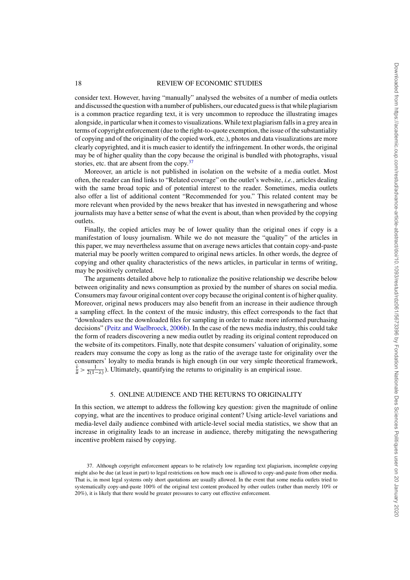consider text. However, having "manually" analysed the websites of a number of media outlets and discussed the question with a number of publishers, our educated guess is that while plagiarism is a common practice regarding text, it is very uncommon to reproduce the illustrating images alongside, in particular when it comes to visualizations. While text plagiarism falls in a grey area in terms of copyright enforcement (due to the right-to-quote exemption, the issue of the substantiality of copying and of the originality of the copied work, etc.), photos and data visualizations are more clearly copyrighted, and it is much easier to identify the infringement. In other words, the original may be of higher quality than the copy because the original is bundled with photographs, visual stories, etc. that are absent from the copy.<sup>37</sup>

Moreover, an article is not published in isolation on the website of a media outlet. Most often, the reader can find links to "Related coverage" on the outlet's website, *i.e.*, articles dealing with the same broad topic and of potential interest to the reader. Sometimes, media outlets also offer a list of additional content "Recommended for you." This related content may be more relevant when provided by the news breaker that has invested in newsgathering and whose journalists may have a better sense of what the event is about, than when provided by the copying outlets.

Finally, the copied articles may be of lower quality than the original ones if copy is a manifestation of lousy journalism. While we do not measure the "quality" of the articles in this paper, we may nevertheless assume that on average news articles that contain copy-and-paste material may be poorly written compared to original news articles. In other words, the degree of copying and other quality characteristics of the news articles, in particular in terms of writing, may be positively correlated.

The arguments detailed above help to rationalize the positive relationship we describe below between originality and news consumption as proxied by the number of shares on social media. Consumers may favour original content over copy because the original content is of higher quality. Moreover, original news producers may also benefit from an increase in their audience through a sampling effect. In the context of the music industry, this effect corresponds to the fact that "downloaders use the downloaded files for sampling in order to make more informed purchasing decisions" (Peitz and Waelbroeck, 2006b). In the case of the news media industry, this could take the form of readers discovering a new media outlet by reading its original content reproduced on the website of its competitors. Finally, note that despite consumers' valuation of originality, some readers may consume the copy as long as the ratio of the average taste for originality over the consumers' loyalty to media brands is high enough (in our very simple theoretical framework,  $\frac{\bar{v}}{\bar{u}} > \frac{1}{2(1-\lambda)}$ ). Ultimately, quantifying the returns to originality is an empirical issue.

#### 5. ONLINE AUDIENCE AND THE RETURNS TO ORIGINALITY

In this section, we attempt to address the following key question: given the magnitude of online copying, what are the incentives to produce original content? Using article-level variations and media-level daily audience combined with article-level social media statistics, we show that an increase in originality leads to an increase in audience, thereby mitigating the newsgathering incentive problem raised by copying.

<sup>37.</sup> Although copyright enforcement appears to be relatively low regarding text plagiarism, incomplete copying might also be due (at least in part) to legal restrictions on how much one is allowed to copy-and-paste from other media. That is, in most legal systems only short quotations are usually allowed. In the event that some media outlets tried to systematically copy-and-paste 100% of the original text content produced by other outlets (rather than merely 10% or 20%), it is likely that there would be greater pressures to carry out effective enforcement.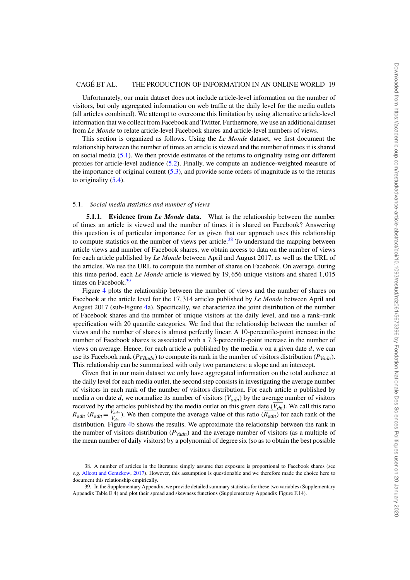Unfortunately, our main dataset does not include article-level information on the number of visitors, but only aggregated information on web traffic at the daily level for the media outlets (all articles combined). We attempt to overcome this limitation by using alternative article-level information that we collect from Facebook and Twitter. Furthermore, we use an additional dataset from *Le Monde* to relate article-level Facebook shares and article-level numbers of views.

This section is organized as follows. Using the *Le Monde* dataset, we first document the relationship between the number of times an article is viewed and the number of times it is shared on social media (5.1). We then provide estimates of the returns to originality using our different proxies for article-level audience (5.2). Finally, we compute an audience-weighted measure of the importance of original content (5.3), and provide some orders of magnitude as to the returns to originality  $(5.4)$ .

#### 5.1. *Social media statistics and number of views*

**5.1.1. Evidence from** *Le Monde* **data.** What is the relationship between the number of times an article is viewed and the number of times it is shared on Facebook? Answering this question is of particular importance for us given that our approach uses this relationship to compute statistics on the number of views per article.<sup>38</sup> To understand the mapping between article views and number of Facebook shares, we obtain access to data on the number of views for each article published by *Le Monde* between April and August 2017, as well as the URL of the articles. We use the URL to compute the number of shares on Facebook. On average, during this time period, each *Le Monde* article is viewed by 19,656 unique visitors and shared 1,015 times on Facebook.<sup>39</sup>

Figure 4 plots the relationship between the number of views and the number of shares on Facebook at the article level for the 17,314 articles published by *Le Monde* between April and August 2017 (sub-Figure 4a). Specifically, we characterize the joint distribution of the number of Facebook shares and the number of unique visitors at the daily level, and use a rank–rank specification with 20 quantile categories. We find that the relationship between the number of views and the number of shares is almost perfectly linear. A 10-percentile-point increase in the number of Facebook shares is associated with a 7.3-percentile-point increase in the number of views on average. Hence, for each article *a* published by the media *n* on a given date *d*, we can use its Facebook rank ( $P_{FBadh}$ ) to compute its rank in the number of visitors distribution ( $P_{Vadh}$ ). This relationship can be summarized with only two parameters: a slope and an intercept.

Given that in our main dataset we only have aggregated information on the total audience at the daily level for each media outlet, the second step consists in investigating the average number of visitors in each rank of the number of visitors distribution. For each article *a* published by media *n* on date *d*, we normalize its number of visitors (*Vadn*) by the average number of visitors received by the articles published by the media outlet on this given date  $(\overline{V_{dn}})$ . We call this ratio  $R_{adn}$  ( $R_{adn} = \frac{V_{adn}}{V_{dn}}$ ). We then compute the average value of this ratio ( $\overline{R_{adn}}$ ) for each rank of the distribution. Figure 4b shows the results. We approximate the relationship between the rank in the number of visitors distribution  $(P_{Vadn})$  and the average number of visitors (as a multiple of the mean number of daily visitors) by a polynomial of degree six (so as to obtain the best possible

<sup>38.</sup> A number of articles in the literature simply assume that exposure is proportional to Facebook shares (see *e.g.* Allcott and Gentzkow, 2017). However, this assumption is questionable and we therefore made the choice here to document this relationship empirically.

<sup>39.</sup> In the Supplementary Appendix, we provide detailed summary statistics for these two variables (Supplementary Appendix Table E.4) and plot their spread and skewness functions (Supplementary Appendix Figure F.14).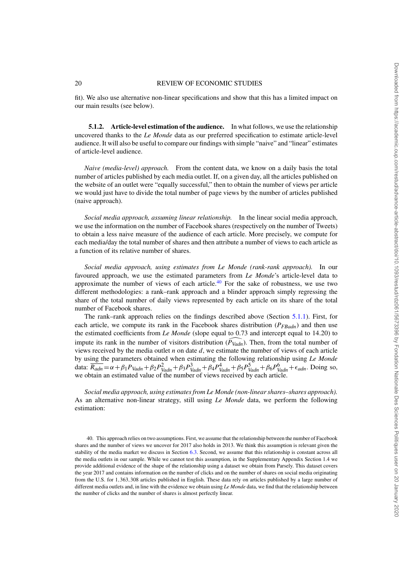fit). We also use alternative non-linear specifications and show that this has a limited impact on our main results (see below).

**5.1.2. Article-level estimation of the audience.** In what follows, we use the relationship uncovered thanks to the *Le Monde* data as our preferred specification to estimate article-level audience. It will also be useful to compare our findings with simple "naive" and "linear" estimates of article-level audience.

*Naive (media-level) approach.* From the content data, we know on a daily basis the total number of articles published by each media outlet. If, on a given day, all the articles published on the website of an outlet were "equally successful," then to obtain the number of views per article we would just have to divide the total number of page views by the number of articles published (naive approach).

*Social media approach, assuming linear relationship.* In the linear social media approach, we use the information on the number of Facebook shares (respectively on the number of Tweets) to obtain a less naive measure of the audience of each article. More precisely, we compute for each media/day the total number of shares and then attribute a number of views to each article as a function of its relative number of shares.

*Social media approach, using estimates from Le Monde (rank-rank approach).* In our favoured approach, we use the estimated parameters from *Le Monde*'s article-level data to approximate the number of views of each article.<sup>40</sup> For the sake of robustness, we use two different methodologies: a rank–rank approach and a blinder approach simply regressing the share of the total number of daily views represented by each article on its share of the total number of Facebook shares.

The rank–rank approach relies on the findings described above (Section 5.1.1). First, for each article, we compute its rank in the Facebook shares distribution ( $P_{FBadn}$ ) and then use the estimated coefficients from *Le Monde* (slope equal to 0.73 and intercept equal to 14.20) to impute its rank in the number of visitors distribution (*P Vadn*). Then, from the total number of views received by the media outlet *n* on date *d*, we estimate the number of views of each article by using the parameters obtained when estimating the following relationship using *Le Monde* data:  $\overline{R_{adn}} = \alpha + \beta_1 P_{Vadn} + \beta_2 P_{Vadn}^2 + \beta_3 P_{Vadn}^3 + \beta_4 P_{Vadn}^4 + \beta_5 P_{Vadn}^5 + \beta_6 P_{Vadn}^6 + \epsilon_{adn}$ . Doing so, we obtain an estimated value of the number of views received by each article.

*Social media approach, using estimates from Le Monde (non-linear shares–shares approach).* As an alternative non-linear strategy, still using *Le Monde* data, we perform the following estimation:

40. This approach relies on two assumptions. First, we assume that the relationship between the number of Facebook shares and the number of views we uncover for 2017 also holds in 2013. We think this assumption is relevant given the stability of the media market we discuss in Section 6.3. Second, we assume that this relationship is constant across all the media outlets in our sample. While we cannot test this assumption, in the Supplementary Appendix Section 1.4 we provide additional evidence of the shape of the relationship using a dataset we obtain from Parsely. This dataset covers the year 2017 and contains information on the number of clicks and on the number of shares on social media originating from the U.S. for 1,363,308 articles published in English. These data rely on articles published by a large number of different media outlets and, in line with the evidence we obtain using *Le Monde* data, we find that the relationship between the number of clicks and the number of shares is almost perfectly linear.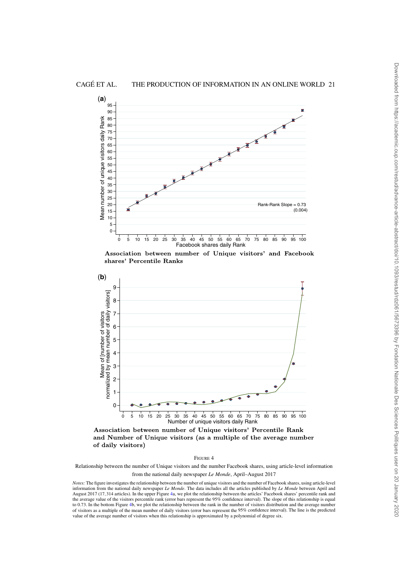



Association between number of Unique visitors' and Facebook shares' Percentile Ranks



Association between number of Unique visitors' Percentile Rank and Number of Unique visitors (as a multiple of the average number of daily visitors)

Relationship between the number of Unique visitors and the number Facebook shares, using article-level information from the national daily newspaper *Le Monde*, April–August 2017

*Notes:* The figure investigates the relationship between the number of unique visitors and the number of Facebook shares, using article-level information from the national daily newspaper Le Monde. The data includes all the articles published by Le Monde between April and<br>August 2017 (17,314 articles). In the upper Figure 4a, we plot the relationship between the the average value of the visitors percentile rank (error bars represent the 95% confidence interval). The slope of this relationship is equal to 0.73. In the bottom Figure 4b, we plot the relationship between the rank in the number of visitors distribution and the average number of visitors as a multiple of the mean number of daily visitors (error bars represent the 95% confidence interval). The line is the predicted value of the average number of visitors when this relationship is approximated by a polynomial of degree six.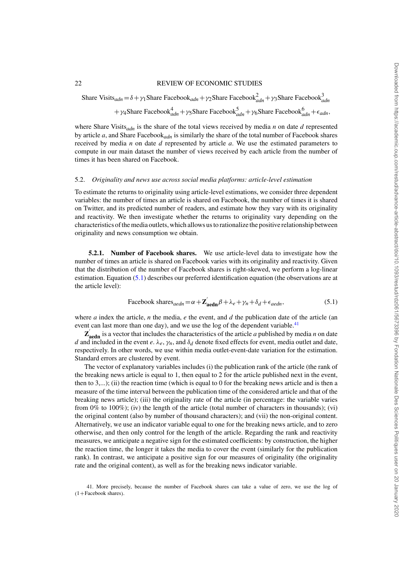Share Visits<sub>adn</sub> =  $\delta + \gamma_1$ Share Facebook<sub>adn</sub> +  $\gamma_2$ Share Facebook $\alpha_{adn}^3 + \gamma_3$ Share Facebook $\alpha_{adn}^3$ + γ<sub>4</sub>Share Facebook<sup>4</sup><sub>adn</sub> + γ<sub>5</sub>Share Facebook<sup>5</sup><sub>adn</sub> + γ<sub>6</sub>Share Facebook<sup>6</sup><sub>adn</sub> +  $\epsilon$ <sub>adn</sub>,

where Share Visits*adn* is the share of the total views received by media *n* on date *d* represented by article *a*, and Share Facebook*adn* is similarly the share of the total number of Facebook shares received by media *n* on date *d* represented by article *a*. We use the estimated parameters to compute in our main dataset the number of views received by each article from the number of times it has been shared on Facebook.

#### 5.2. *Originality and news use across social media platforms: article-level estimation*

To estimate the returns to originality using article-level estimations, we consider three dependent variables: the number of times an article is shared on Facebook, the number of times it is shared on Twitter, and its predicted number of readers, and estimate how they vary with its originality and reactivity. We then investigate whether the returns to originality vary depending on the characteristics of the media outlets, which allows us to rationalize the positive relationship between originality and news consumption we obtain.

**5.2.1. Number of Facebook shares.** We use article-level data to investigate how the number of times an article is shared on Facebook varies with its originality and reactivity. Given that the distribution of the number of Facebook shares is right-skewed, we perform a log-linear estimation. Equation (5.1) describes our preferred identification equation (the observations are at the article level):

Facebook shares<sub>aedn</sub> = 
$$
\alpha + \mathbf{Z}_{\text{aedn}}' \beta + \lambda_e + \gamma_n + \delta_d + \epsilon_{aedn}
$$
, (5.1)

where *a* index the article, *n* the media, *e* the event, and *d* the publication date of the article (an event can last more than one day), and we use the log of the dependent variable.<sup>41</sup>

 $\mathbf{Z}_{\text{aedn}}'$  is a vector that includes the characteristics of the article *a* published by media *n* on date *d* and included in the event *e*.  $\lambda_e$ ,  $\gamma_n$ , and  $\delta_d$  denote fixed effects for event, media outlet and date, respectively. In other words, we use within media outlet-event-date variation for the estimation. Standard errors are clustered by event.

The vector of explanatory variables includes (i) the publication rank of the article (the rank of the breaking news article is equal to 1, then equal to 2 for the article published next in the event, then to  $3,...$ ); (ii) the reaction time (which is equal to 0 for the breaking news article and is then a measure of the time interval between the publication time of the considered article and that of the breaking news article); (iii) the originality rate of the article (in percentage: the variable varies from  $0\%$  to  $100\%$ ); (iv) the length of the article (total number of characters in thousands); (vi) the original content (also by number of thousand characters); and (vii) the non-original content. Alternatively, we use an indicator variable equal to one for the breaking news article, and to zero otherwise, and then only control for the length of the article. Regarding the rank and reactivity measures, we anticipate a negative sign for the estimated coefficients: by construction, the higher the reaction time, the longer it takes the media to cover the event (similarly for the publication rank). In contrast, we anticipate a positive sign for our measures of originality (the originality rate and the original content), as well as for the breaking news indicator variable.

41. More precisely, because the number of Facebook shares can take a value of zero, we use the log of  $(1 +$ Facebook shares).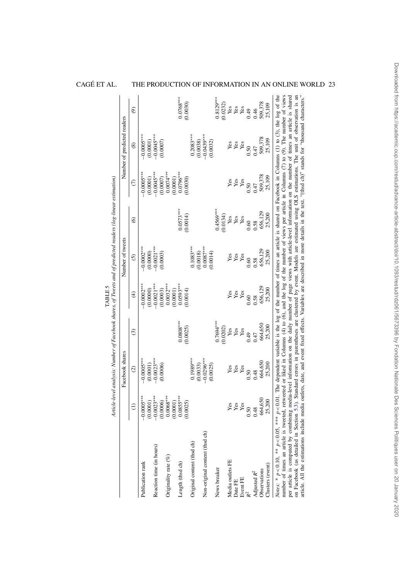|                                                                                                                                                                                                                                                                                                                                                                                                                                                                                                                                                                                                                                               |                          | Article-level analysis: Number of Facebook shares, of Tweets and of predicted readers (log-linear estimation)                                                                                                                                                                  |                         | <b>TABLE 5</b>           |                          |                         |                          |                             |                         |
|-----------------------------------------------------------------------------------------------------------------------------------------------------------------------------------------------------------------------------------------------------------------------------------------------------------------------------------------------------------------------------------------------------------------------------------------------------------------------------------------------------------------------------------------------------------------------------------------------------------------------------------------------|--------------------------|--------------------------------------------------------------------------------------------------------------------------------------------------------------------------------------------------------------------------------------------------------------------------------|-------------------------|--------------------------|--------------------------|-------------------------|--------------------------|-----------------------------|-------------------------|
|                                                                                                                                                                                                                                                                                                                                                                                                                                                                                                                                                                                                                                               |                          | Facebook shares                                                                                                                                                                                                                                                                |                         |                          | Number of tweets         |                         |                          | Number of predicted readers |                         |
|                                                                                                                                                                                                                                                                                                                                                                                                                                                                                                                                                                                                                                               | $\ominus$                | $\widehat{c}$                                                                                                                                                                                                                                                                  | $\odot$                 | $\widehat{f}$            | $\widehat{c}$            | $\widehat{\circ}$       | $\widehat{C}$            | $\circledast$               | ම                       |
| Publication rank                                                                                                                                                                                                                                                                                                                                                                                                                                                                                                                                                                                                                              | $-0.0005***$<br>(0.0001) | $-0.0005***$<br>(0.0001)                                                                                                                                                                                                                                                       |                         | $-0.0002***$<br>(0.0000) | $-0.0002***$<br>(0.0000) |                         | $-0.0005***$<br>(0.0001) | $-0.0005***$<br>(0.0001)    |                         |
| Reaction time (in hours)                                                                                                                                                                                                                                                                                                                                                                                                                                                                                                                                                                                                                      | $-0.0023***$<br>(0.0006) | $-0.0023***$<br>(0.0006)                                                                                                                                                                                                                                                       |                         | $-0.0021***$<br>(0.0003) | $-0.0021***$<br>(0.0003) |                         | $-0.0045***$<br>(0.0007) | $-0.0045***$<br>(0.0007)    |                         |
| Originality rate (%)                                                                                                                                                                                                                                                                                                                                                                                                                                                                                                                                                                                                                          | $0.0068***$<br>(0.0001)  |                                                                                                                                                                                                                                                                                |                         | $0.0032***$<br>(0.0001)  |                          |                         | $0.0074***$<br>(0.0001)  |                             |                         |
| Length (thsd ch)                                                                                                                                                                                                                                                                                                                                                                                                                                                                                                                                                                                                                              | $0.0855***$<br>0.0025    |                                                                                                                                                                                                                                                                                | $0.0808***$<br>(0.0025) | $0.0593***$<br>(0.0014)  |                          | $0.0573***$<br>(0.0014) | $0.0796***$<br>(0.0030)  |                             | $0.0768***$<br>(0.0030) |
| Original content (thsd ch)                                                                                                                                                                                                                                                                                                                                                                                                                                                                                                                                                                                                                    |                          | $0.1989***$<br>(0.0033)                                                                                                                                                                                                                                                        |                         |                          | $0.1083***$<br>(0.0018)  |                         |                          | $0.2083***$<br>(0.0038)     |                         |
| Non-original content (thsd ch)                                                                                                                                                                                                                                                                                                                                                                                                                                                                                                                                                                                                                |                          | $-0.0296***$<br>(0.0025)                                                                                                                                                                                                                                                       |                         |                          | $0.0087***$<br>(0.0014)  |                         |                          | $-0.0439***$<br>(0.0032)    |                         |
| News breaker                                                                                                                                                                                                                                                                                                                                                                                                                                                                                                                                                                                                                                  |                          |                                                                                                                                                                                                                                                                                | $0.7694***$             |                          |                          | $0.4569***$             |                          |                             | $0.8129***$             |
| Media outlets FE                                                                                                                                                                                                                                                                                                                                                                                                                                                                                                                                                                                                                              | Yes                      | Yes                                                                                                                                                                                                                                                                            | (0.0202)<br>${\bf Yes}$ | Yes                      | Yes                      | (0.0134)<br>Yes         | Yes                      | Yes                         | (0.0232)<br>Yes         |
| Date FE                                                                                                                                                                                                                                                                                                                                                                                                                                                                                                                                                                                                                                       | Yes                      | Yes                                                                                                                                                                                                                                                                            | Yes                     | Yes                      | Yes                      | Yes                     | Yes                      | Yes                         | Yes                     |
| Event FE                                                                                                                                                                                                                                                                                                                                                                                                                                                                                                                                                                                                                                      | Yes                      | Yes                                                                                                                                                                                                                                                                            | Yes                     | Yes                      | Yes                      | Yes                     | Yes                      | Yes                         | Yes                     |
|                                                                                                                                                                                                                                                                                                                                                                                                                                                                                                                                                                                                                                               | 0.50                     | 0.50                                                                                                                                                                                                                                                                           | 0.49                    | 0.60                     | 0.60                     | 0.60                    | 0.50                     | 0.50                        | 0.49                    |
| Adjusted $R^2$                                                                                                                                                                                                                                                                                                                                                                                                                                                                                                                                                                                                                                | 0.48                     | 0.48                                                                                                                                                                                                                                                                           | 0.47                    | 0.58                     | 0.58                     | 0.58                    | 0.47                     | 0.47                        | 0.46                    |
| Observations                                                                                                                                                                                                                                                                                                                                                                                                                                                                                                                                                                                                                                  | 664,650                  | 664,650                                                                                                                                                                                                                                                                        | 664,650                 | 656,129                  | 656,129                  | 656,129                 | 509,378                  | 509,378                     | 509,378<br>25,109       |
| Clusters (event)                                                                                                                                                                                                                                                                                                                                                                                                                                                                                                                                                                                                                              | 25,200                   | 25,200                                                                                                                                                                                                                                                                         | 25,200                  | 25,200                   | 25,200                   | 25,200                  | 25,109                   | 25,109                      |                         |
| Notes: * $p < 0.10$ , *** $p < 0.05$ , *** $p < 0.01$ . The dependent variable is the log of the number of times an article is shared on Facebook in Columns (1) to (3), the log of the<br>number of times an article is tweeted, retweeted or liked in Columns (4) to (6), and the log of the number of views per article in Columns (7) to (9). The number of views<br>per article is computed by combining media-level information on the daily number of page views with article-level information on the number of times an article is shared<br>on Facebook (as detailed in Section 5.3).<br>article. All the estimations include media |                          | outlets, date, and event fixed effects. Variables are described in more details in the text. "(thsd ch)" stands for "thousand characters."<br>Standard errors in parentheses are clustered by event. Models are estimated using OLS estimations. The unit of observation is an |                         |                          |                          |                         |                          |                             |                         |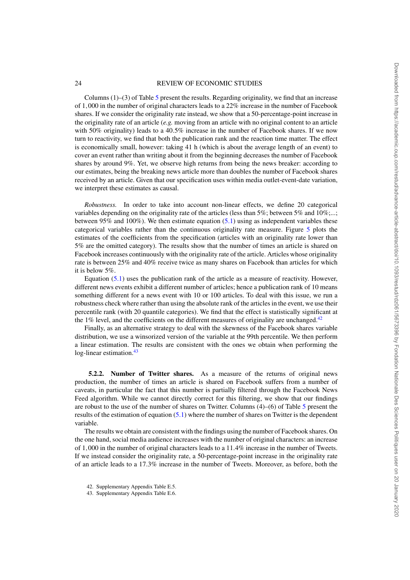Columns  $(1)$ – $(3)$  of Table 5 present the results. Regarding originality, we find that an increase of 1,000 in the number of original characters leads to a 22% increase in the number of Facebook shares. If we consider the originality rate instead, we show that a 50-percentage-point increase in the originality rate of an article (*e.g.* moving from an article with no original content to an article with 50% originality) leads to a 40.5% increase in the number of Facebook shares. If we now turn to reactivity, we find that both the publication rank and the reaction time matter. The effect is economically small, however: taking 41 h (which is about the average length of an event) to cover an event rather than writing about it from the beginning decreases the number of Facebook shares by around 9%. Yet, we observe high returns from being the news breaker: according to our estimates, being the breaking news article more than doubles the number of Facebook shares received by an article. Given that our specification uses within media outlet-event-date variation, we interpret these estimates as causal.

*Robustness.* In order to take into account non-linear effects, we define 20 categorical variables depending on the originality rate of the articles (less than 5%; between 5% and 10%;...; between  $95\%$  and  $100\%$ ). We then estimate equation (5.1) using as independent variables these categorical variables rather than the continuous originality rate measure. Figure 5 plots the estimates of the coefficients from the specification (articles with an originality rate lower than 5% are the omitted category). The results show that the number of times an article is shared on Facebook increases continuously with the originality rate of the article. Articles whose originality rate is between 25% and 40% receive twice as many shares on Facebook than articles for which it is below 5%.

Equation (5.1) uses the publication rank of the article as a measure of reactivity. However, different news events exhibit a different number of articles; hence a publication rank of 10 means something different for a news event with 10 or 100 articles. To deal with this issue, we run a robustness check where rather than using the absolute rank of the articles in the event, we use their percentile rank (with 20 quantile categories). We find that the effect is statistically significant at the  $1\%$  level, and the coefficients on the different measures of originality are unchanged.<sup>42</sup>

Finally, as an alternative strategy to deal with the skewness of the Facebook shares variable distribution, we use a winsorized version of the variable at the 99th percentile. We then perform a linear estimation. The results are consistent with the ones we obtain when performing the  $log$ -linear estimation.<sup>43</sup>

**5.2.2. Number of Twitter shares.** As a measure of the returns of original news production, the number of times an article is shared on Facebook suffers from a number of caveats, in particular the fact that this number is partially filtered through the Facebook News Feed algorithm. While we cannot directly correct for this filtering, we show that our findings are robust to the use of the number of shares on Twitter. Columns (4)–(6) of Table 5 present the results of the estimation of equation  $(5.1)$  where the number of shares on Twitter is the dependent variable.

The results we obtain are consistent with the findings using the number of Facebook shares. On the one hand, social media audience increases with the number of original characters: an increase of 1,000 in the number of original characters leads to a 11.4% increase in the number of Tweets. If we instead consider the originality rate, a 50-percentage-point increase in the originality rate of an article leads to a 17.3% increase in the number of Tweets. Moreover, as before, both the

- 42. Supplementary Appendix Table E.5.
- 43. Supplementary Appendix Table E.6.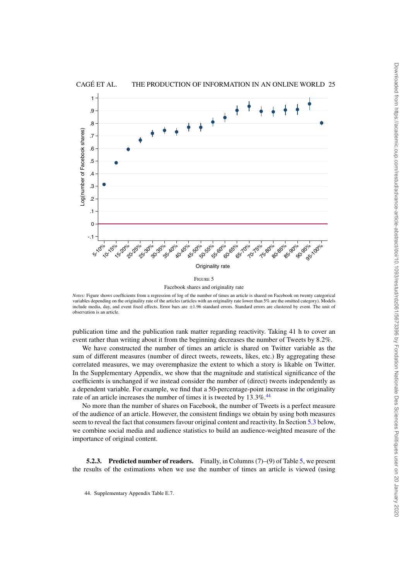

CAGÉ ET AL. THE PRODUCTION OF INFORMATION IN AN ONLINE WORLD 25

*Notes:* Figure shows coefficients from a regression of log of the number of times an article is shared on Facebook on twenty categorical variables depending on the originality rate of the articles (articles with an originality rate lower than 5% are the omitted category). Models include media, day, and event fixed effects. Error bars are ±1.96 standard errors. Standard errors are clustered by event. The unit of observation is an article.

publication time and the publication rank matter regarding reactivity. Taking 41 h to cover an event rather than writing about it from the beginning decreases the number of Tweets by 8.2%.

We have constructed the number of times an article is shared on Twitter variable as the sum of different measures (number of direct tweets, reweets, likes, etc.) By aggregating these correlated measures, we may overemphasize the extent to which a story is likable on Twitter. In the Supplementary Appendix, we show that the magnitude and statistical significance of the coefficients is unchanged if we instead consider the number of (direct) tweets independently as a dependent variable. For example, we find that a 50-percentage-point increase in the originality rate of an article increases the number of times it is tweeted by 13.3%.<sup>44</sup>

No more than the number of shares on Facebook, the number of Tweets is a perfect measure of the audience of an article. However, the consistent findings we obtain by using both measures seem to reveal the fact that consumers favour original content and reactivity. In Section 5.3 below, we combine social media and audience statistics to build an audience-weighted measure of the importance of original content.

**5.2.3. Predicted number of readers.** Finally, in Columns (7)–(9) of Table 5, we present the results of the estimations when we use the number of times an article is viewed (using

<sup>44.</sup> Supplementary Appendix Table E.7.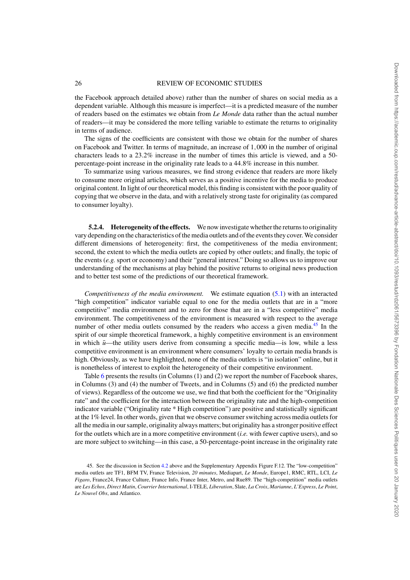the Facebook approach detailed above) rather than the number of shares on social media as a dependent variable. Although this measure is imperfect—it is a predicted measure of the number of readers based on the estimates we obtain from *Le Monde* data rather than the actual number of readers—it may be considered the more telling variable to estimate the returns to originality in terms of audience.

The signs of the coefficients are consistent with those we obtain for the number of shares on Facebook and Twitter. In terms of magnitude, an increase of 1,000 in the number of original characters leads to a  $23.2\%$  increase in the number of times this article is viewed, and a 50percentage-point increase in the originality rate leads to a 44.8% increase in this number.

To summarize using various measures, we find strong evidence that readers are more likely to consume more original articles, which serves as a positive incentive for the media to produce original content. In light of our theoretical model, this finding is consistent with the poor quality of copying that we observe in the data, and with a relatively strong taste for originality (as compared to consumer loyalty).

**5.2.4. Heterogeneity of the effects.** We now investigate whether the returns to originality vary depending on the characteristics of the media outlets and of the events they cover. We consider different dimensions of heterogeneity: first, the competitiveness of the media environment; second, the extent to which the media outlets are copied by other outlets; and finally, the topic of the events (*e.g.* sport or economy) and their "general interest." Doing so allows us to improve our understanding of the mechanisms at play behind the positive returns to original news production and to better test some of the predictions of our theoretical framework.

*Competitiveness of the media environment.* We estimate equation (5.1) with an interacted "high competition" indicator variable equal to one for the media outlets that are in a "more competitive" media environment and to zero for those that are in a "less competitive" media environment. The competitiveness of the environment is measured with respect to the average number of other media outlets consumed by the readers who access a given media.<sup>45</sup> In the spirit of our simple theoretical framework, a highly competitive environment is an environment in which  $\bar{u}$ —the utility users derive from consuming a specific media—is low, while a less competitive environment is an environment where consumers' loyalty to certain media brands is high. Obviously, as we have highlighted, none of the media outlets is "in isolation" online, but it is nonetheless of interest to exploit the heterogeneity of their competitive environment.

Table 6 presents the results (in Columns (1) and (2) we report the number of Facebook shares, in Columns (3) and (4) the number of Tweets, and in Columns (5) and (6) the predicted number of views). Regardless of the outcome we use, we find that both the coefficient for the "Originality rate" and the coefficient for the interaction between the originality rate and the high-competition indicator variable ("Originality rate \* High competition") are positive and statistically significant at the 1% level. In other words, given that we observe consumer switching across media outlets for all the media in our sample, originality always matters; but originality has a stronger positive effect for the outlets which are in a more competitive environment (*i.e.* with fewer captive users), and so are more subject to switching—in this case, a 50-percentage-point increase in the originality rate

<sup>45.</sup> See the discussion in Section 4.2 above and the Supplementary Appendix Figure F.12. The "low-competition" media outlets are TF1, BFM TV, France Television, *20 minutes*, Mediapart, *Le Monde*, Europe1, RMC, RTL, LCI, *Le Figaro*, France24, France Culture, France Info, France Inter, Metro, and Rue89. The "high-competition" media outlets are *Les Echos*, *Direct Matin*, *Courrier International*, I-TELE, *Liberation*, Slate, *La Croix*, *Marianne*, *L'Express*, *Le Point*, *Le Nouvel Obs*, and Atlantico.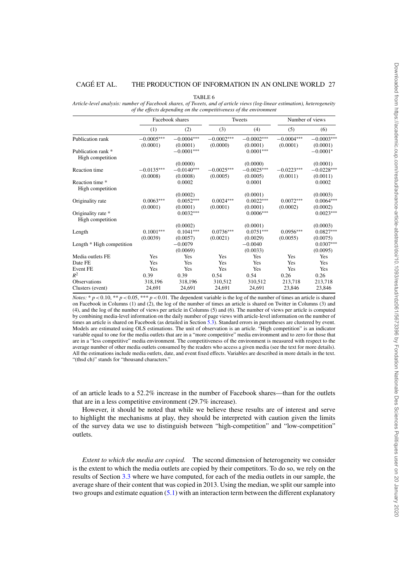TABLE 6

*Article-level analysis: number of Facebook shares, of Tweets, and of article views (log-linear estimation), heterogeneity of the effects depending on the competitiveness of the environment*

|                                        |              | Facebook shares |              | Tweets       | Number of views |              |
|----------------------------------------|--------------|-----------------|--------------|--------------|-----------------|--------------|
|                                        | (1)          | (2)             | (3)          | (4)          | (5)             | (6)          |
| Publication rank                       | $-0.0005***$ | $-0.0004***$    | $-0.0002***$ | $-0.0002***$ | $-0.0004***$    | $-0.0003***$ |
|                                        | (0.0001)     | (0.0001)        | (0.0000)     | (0.0001)     | (0.0001)        | (0.0001)     |
| Publication rank *<br>High competition |              | $-0.0001***$    |              | $0.0001***$  |                 | $-0.0001*$   |
|                                        |              | (0.0000)        |              | (0.0000)     |                 | (0.0001)     |
| <b>Reaction</b> time                   | $-0.0135***$ | $-0.0140***$    | $-0.0025***$ | $-0.0025***$ | $-0.0223***$    | $-0.0228***$ |
|                                        | (0.0008)     | (0.0008)        | (0.0005)     | (0.0005)     | (0.0011)        | (0.0011)     |
| Reaction time *                        |              | 0.0002          |              | 0.0001       |                 | 0.0002       |
| High competition                       |              |                 |              |              |                 |              |
|                                        |              | (0.0002)        |              | (0.0001)     |                 | (0.0003)     |
| Originality rate                       | $0.0063***$  | $0.0052***$     | $0.0024***$  | $0.0022***$  | $0.0072***$     | $0.0064***$  |
|                                        | (0.0001)     | (0.0001)        | (0.0001)     | (0.0001)     | (0.0002)        | (0.0002)     |
| Originality rate *                     |              | $0.0032***$     |              | $0.0006***$  |                 | $0.0023***$  |
| High competition                       |              |                 |              |              |                 |              |
|                                        |              | (0.0002)        |              | (0.0001)     |                 | (0.0003)     |
| Length                                 | $0.1001***$  | $0.1041***$     | $0.0736***$  | $0.0751***$  | $0.0956***$     | $0.0827***$  |
|                                        | (0.0039)     | (0.0057)        | (0.0021)     | (0.0029)     | (0.0055)        | (0.0075)     |
| Length * High competition              |              | $-0.0079$       |              | $-0.0040$    |                 | $0.0307***$  |
|                                        |              | (0.0069)        |              | (0.0033)     |                 | (0.0095)     |
| Media outlets FE                       | Yes          | Yes             | Yes          | Yes          | Yes             | Yes          |
| Date FE                                | Yes          | Yes             | Yes          | Yes          | Yes             | Yes          |
| Event FE                               | Yes          | Yes             | Yes          | Yes          | Yes             | Yes          |
| $R^2$                                  | 0.39         | 0.39            | 0.54         | 0.54         | 0.26            | 0.26         |
| <b>Observations</b>                    | 318,196      | 318,196         | 310,512      | 310,512      | 213,718         | 213,718      |
| Clusters (event)                       | 24,691       | 24,691          | 24,691       | 24,691       | 23,846          | 23,846       |

*Notes:* \*  $p < 0.10$ , \*\*  $p < 0.05$ , \*\*\*  $p < 0.01$ . The dependent variable is the log of the number of times an article is shared on Facebook in Columns (1) and (2), the log of the number of times an article is shared on Twitter in Columns (3) and (4), and the log of the number of views per article in Columns (5) and (6). The number of views per article is computed by combining media-level information on the daily number of page views with article-level information on the number of times an article is shared on Facebook (as detailed in Section 5.3). Standard errors in parentheses are clustered by event. Models are estimated using OLS estimations. The unit of observation is an article. "High competition" is an indicator variable equal to one for the media outlets that are in a "more competitive" media environment and to zero for those that are in a "less competitive" media environment. The competitiveness of the environment is measured with respect to the average number of other media outlets consumed by the readers who access a given media (see the text for more details). All the estimations include media outlets, date, and event fixed effects. Variables are described in more details in the text. "(thsd ch)" stands for "thousand characters."

of an article leads to a 52.2% increase in the number of Facebook shares—than for the outlets that are in a less competitive environment (29.7% increase).

However, it should be noted that while we believe these results are of interest and serve to highlight the mechanisms at play, they should be interpreted with caution given the limits of the survey data we use to distinguish between "high-competition" and "low-competition" outlets.

*Extent to which the media are copied.* The second dimension of heterogeneity we consider is the extent to which the media outlets are copied by their competitors. To do so, we rely on the results of Section 3.3 where we have computed, for each of the media outlets in our sample, the average share of their content that was copied in 2013. Using the median, we split our sample into two groups and estimate equation (5.1) with an interaction term between the different explanatory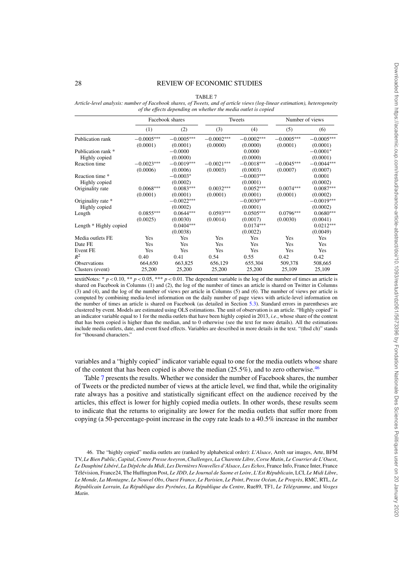TABLE 7

*Article-level analysis: number of Facebook shares, of Tweets, and of article views (log-linear estimation), heterogeneity of the effects depending on whether the media outlet is copied*

|                        |              | Facebook shares |              | Tweets       | Number of views |              |
|------------------------|--------------|-----------------|--------------|--------------|-----------------|--------------|
|                        | (1)          | (2)             | (3)          | (4)          | (5)             | (6)          |
| Publication rank       | $-0.0005***$ | $-0.0005***$    | $-0.0002***$ | $-0.0002***$ | $-0.0005***$    | $-0.0005***$ |
|                        | (0.0001)     | (0.0001)        | (0.0000)     | (0.0000)     | (0.0001)        | (0.0001)     |
| Publication rank *     |              | $-0.0000$       |              | 0.0000       |                 | $-0.0001*$   |
| Highly copied          |              | (0.0000)        |              | (0.0000)     |                 | (0.0001)     |
| Reaction time          | $-0.0023***$ | $-0.0019***$    | $-0.0021***$ | $-0.0018***$ | $-0.0045***$    | $-0.0044***$ |
|                        | (0.0006)     | (0.0006)        | (0.0003)     | (0.0003)     | (0.0007)        | (0.0007)     |
| Reaction time *        |              | $-0.0003*$      |              | $-0.0003***$ |                 | 0.0001       |
| Highly copied          |              | (0.0002)        |              | (0.0001)     |                 | (0.0002)     |
| Originality rate       | $0.0068***$  | $0.0083***$     | $0.0032***$  | $0.0052***$  | $0.0074***$     | $0.0087***$  |
|                        | (0.0001)     | (0.0001)        | (0.0001)     | (0.0001)     | (0.0001)        | (0.0002)     |
| Originality rate *     |              | $-0.0022***$    |              | $-0.0030***$ |                 | $-0.0019***$ |
| Highly copied          |              | (0.0002)        |              | (0.0001)     |                 | (0.0002)     |
| Length                 | $0.0855***$  | $0.0644***$     | $0.0593***$  | $0.0505***$  | $0.0796***$     | $0.0680***$  |
|                        | (0.0025)     | (0.0030)        | (0.0014)     | (0.0017)     | (0.0030)        | (0.0041)     |
| Length * Highly copied |              | $0.0404***$     |              | $0.0174***$  |                 | $0.0212***$  |
|                        |              | (0.0038)        |              | (0.0022)     |                 | (0.0049)     |
| Media outlets FE       | Yes          | Yes             | Yes          | Yes          | Yes             | Yes          |
| Date FE                | Yes          | Yes             | Yes          | Yes          | Yes             | <b>Yes</b>   |
| Event FE               | Yes          | Yes             | Yes          | Yes          | Yes             | Yes          |
| $R^2$                  | 0.40         | 0.41            | 0.54         | 0.55         | 0.42            | 0.42         |
| <b>Observations</b>    | 664,650      | 663,825         | 656,129      | 655,304      | 509,378         | 508,665      |
| Clusters (event)       | 25,200       | 25,200          | 25,200       | 25,200       | 25,109          | 25,109       |

textitNotes: \*  $p < 0.10$ , \*\*  $p < 0.05$ , \*\*\*  $p < 0.01$ . The dependent variable is the log of the number of times an article is shared on Facebook in Columns (1) and (2), the log of the number of times an article is shared on Twitter in Columns (3) and (4), and the log of the number of views per article in Columns (5) and (6). The number of views per article is computed by combining media-level information on the daily number of page views with article-level information on the number of times an article is shared on Facebook (as detailed in Section 5.3). Standard errors in parentheses are clustered by event. Models are estimated using OLS estimations. The unit of observation is an article. "Highly copied" is an indicator variable equal to 1 for the media outlets that have been highly copied in 2013, *i.e.*, whose share of the content that has been copied is higher than the median, and to 0 otherwise (see the text for more details). All the estimations include media outlets, date, and event fixed effects. Variables are described in more details in the text. "(thsd ch)" stands for "thousand characters."

variables and a "highly copied" indicator variable equal to one for the media outlets whose share of the content that has been copied is above the median  $(25.5\%)$ , and to zero otherwise.<sup>46</sup>

Table 7 presents the results. Whether we consider the number of Facebook shares, the number of Tweets or the predicted number of views at the article level, we find that, while the originality rate always has a positive and statistically significant effect on the audience received by the articles, this effect is lower for highly copied media outlets. In other words, these results seem to indicate that the returns to originality are lower for the media outlets that suffer more from copying (a 50-percentage-point increase in the copy rate leads to a 40.5% increase in the number

<sup>46.</sup> The "highly copied" media outlets are (ranked by alphabetical order): *L'Alsace*, Arrêt sur images, Arte, BFM TV, *Le Bien Public*, *Capital*, *Centre Presse Aveyron*, *Challenges*, *La Charente Libre*, *Corse Matin*, *Le Courrier de L'Ouest*, *Le Dauphiné Libéré*, *La Dépêche du Midi*, *Les Dernières Nouvelles d'Alsace*, *Les Echos*, France Info, France Inter, France Télévision, France24, The Huffington Post, *Le JDD*, *Le Journal de Saone et Loire*, *L'Est Républicain*, LCI, *Le Midi Libre*, *Le Monde*, *La Montagne*, *Le Nouvel Obs*, *Ouest France*, *Le Parisien*, *Le Point*, *Presse Océan*, *Le Progrès*, RMC, RTL, *Le Républicain Lorrain*, *La République des Pyrénées*, *La République du Centre*, Rue89, TF1, *Le Télégramme*, and *Vosges Matin*.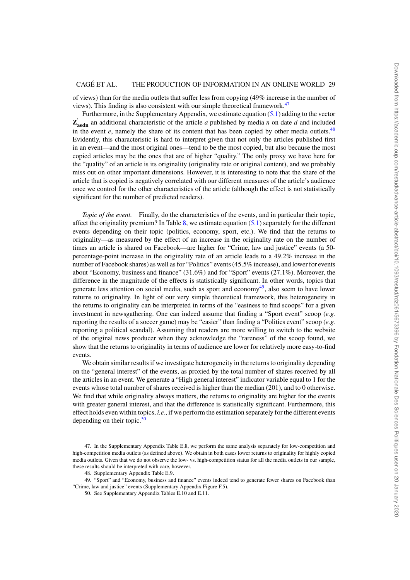of views) than for the media outlets that suffer less from copying (49% increase in the number of views). This finding is also consistent with our simple theoretical framework. $47$ 

Furthermore, in the Supplementary Appendix, we estimate equation (5.1) adding to the vector  $\mathbf{Z}_{\text{aedn}}'$  an additional characteristic of the article *a* published by media *n* on date *d* and included in the event  $e$ , namely the share of its content that has been copied by other media outlets.<sup>48</sup> Evidently, this characteristic is hard to interpret given that not only the articles published first in an event—and the most original ones—tend to be the most copied, but also because the most copied articles may be the ones that are of higher "quality." The only proxy we have here for the "quality" of an article is its originality (originality rate or original content), and we probably miss out on other important dimensions. However, it is interesting to note that the share of the article that is copied is negatively correlated with our different measures of the article's audience once we control for the other characteristics of the article (although the effect is not statistically significant for the number of predicted readers).

*Topic of the event.* Finally, do the characteristics of the events, and in particular their topic, affect the originality premium? In Table  $8$ , we estimate equation  $(5.1)$  separately for the different events depending on their topic (politics, economy, sport, etc.). We find that the returns to originality—as measured by the effect of an increase in the originality rate on the number of times an article is shared on Facebook—are higher for "Crime, law and justice" events (a 50 percentage-point increase in the originality rate of an article leads to a 49.2% increase in the number of Facebook shares) as well as for "Politics" events (45.5% increase), and lower for events about "Economy, business and finance" (31.6%) and for "Sport" events (27.1%). Moreover, the difference in the magnitude of the effects is statistically significant. In other words, topics that generate less attention on social media, such as sport and economy<sup>49</sup>, also seem to have lower returns to originality. In light of our very simple theoretical framework, this heterogeneity in the returns to originality can be interpreted in terms of the "easiness to find scoops" for a given investment in newsgathering. One can indeed assume that finding a "Sport event" scoop (*e.g.* reporting the results of a soccer game) may be "easier" than finding a "Politics event" scoop (*e.g.* reporting a political scandal). Assuming that readers are more willing to switch to the website of the original news producer when they acknowledge the "rareness" of the scoop found, we show that the returns to originality in terms of audience are lower for relatively more easy-to-find events.

We obtain similar results if we investigate heterogeneity in the returns to originality depending on the "general interest" of the events, as proxied by the total number of shares received by all the articles in an event. We generate a "High general interest" indicator variable equal to 1 for the events whose total number of shares received is higher than the median (201), and to 0 otherwise. We find that while originality always matters, the returns to originality are higher for the events with greater general interest, and that the difference is statistically significant. Furthermore, this effect holds even within topics, *i.e.*, if we perform the estimation separately for the different events depending on their topic. $50$ 

47. In the Supplementary Appendix Table E.8, we perform the same analysis separately for low-competition and high-competition media outlets (as defined above). We obtain in both cases lower returns to originality for highly copied media outlets. Given that we do not observe the low- vs. high-competition status for all the media outlets in our sample, these results should be interpreted with care, however.

49. "Sport" and "Economy, business and finance" events indeed tend to generate fewer shares on Facebook than "Crime, law and justice" events (Supplementary Appendix Figure F.5).

50. See Supplementary Appendix Tables E.10 and E.11.

<sup>48.</sup> Supplementary Appendix Table E.9.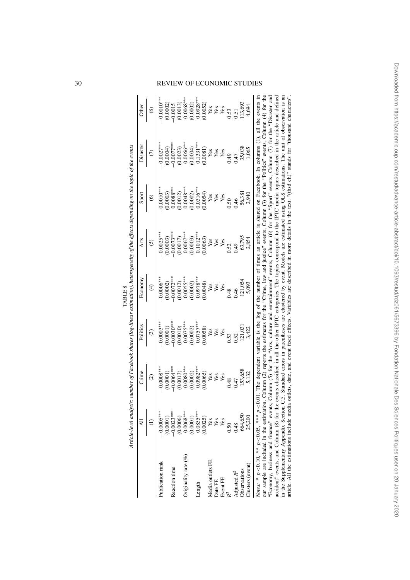|                         | $\overline{A}$          | Crime         | Politics               | Economy      | Arts         | Sport        | Disaster     | Other       |
|-------------------------|-------------------------|---------------|------------------------|--------------|--------------|--------------|--------------|-------------|
|                         |                         | $\widehat{c}$ | $\widehat{\mathbb{G}}$ | ₹            | ତି           | ତ୍ର          |              | ⊛           |
| Publication rank        | $-0.0005***$            | $0.0008***$   | $-0.0003$              | $-0.0006***$ | $0.0025***$  | $-0.0010***$ | $-0.0027***$ | $-0.0010**$ |
|                         | (0.0001)                | (0.0001)      | (0.0001)               | (0.0002)     | (0.0003)     | (0.0003)     | (0.0004)     | (0.0002)    |
| Reaction time           | $-0.0023***$            | $-0.0064***$  | $-0.0030***$           | $-0.0072***$ | $-0.0073***$ | $0.0088***$  | $-0.0077***$ | $-0.0015$   |
|                         | $(0.0006)$<br>0.0068*** | (0.0013)      | (0.0010)               | (0.0012)     | (0.0017)     | (0.0012)     | (0.0023)     | (0.0013)    |
| Originality rate $(\%)$ |                         | $0.0080***$   | $0.0075***$            | $0.0055***$  | $0.0067***$  | $0.0048***$  | $0.0066***$  | $0.0068***$ |
|                         | (0.0001)                | 0.0002        | (0.0002)               | (0.0002)     | (0.0003)     | (0.0002)     | (0.0004)     | (0.0002)    |
| Length                  | $0.0855***$             | $0.0982***$   | $0.0757***$            | $0.0978***$  | $2.1012***$  | $0.0316***$  | $0.1331***$  | $0.0928***$ |
|                         | (0.0025)                | 0.0065        | (0.0058)               | (0.0048)     | (0.0063)     | (0.0054)     | (0.0081)     | (0.0052)    |
| Media outlets FE        | Yes                     | Yes           | Yes                    | Yes          | Yes          | Yes          | Yes          |             |
| Date FE                 | Yes                     | Yes           | $\mathbf{Yes}$         |              | Yes          | Yes          | Yes          | <b>Ass</b>  |
| Event FE                | Yes                     | Yes           | Yes                    | Yes<br>Yes   | Yes          | Yes          | Yes          |             |
|                         | 0.50                    | 0.48          | 0.53                   | 0.48         | 0.52         | 0.50         | 0.49         | 0.53        |
| Adjusted R <sup>2</sup> | 148                     | 0.47          | 0.52                   | 0.46         | 64.0         | 0.46         | 0.47         | 0.51        |
| Observations            | 664,650                 | 153,658       | 121,03                 | 121,054      | 63,795       | 56,381       | 35,038       | 13,693      |
| Clusters (event)        | 25,200                  | 5,132         | 3,422                  | 5,093        | 2,854        | 2,940        | 1,065        | 4,694       |

TABLE 8

TABLE<sub>8</sub>

#### 30 REVIEW OF ECONOMIC STUDIES

"Economy, business and mance" events, Column (b) for the "Arts, culture and entertainment" events, Column (b) for the "bort" events, Column ( $t$ ) for the "Disaster and accident" events, and Column (8) for the events class in the Supplementary Appendix Section C.5. Standard errors in parentheses are clustered by event. Models are estimated using OLS estimations. The unit of observation is an article. All the estimations include media outlets "Economy, business and finance" events, Column (5) for the "Arts, culture and entertainment" events, Column (6) for the "Sport" events, Column (7) for the "Disaster and accident" events, and Column (8) for the events classified in all the other IPTC categories. The topics correspond to the IPTC media topics described in the article and defined in the Supplementary Appendix Section C.5. Standard errors in parentheses are clustered by event. Models are estimated using OLS estimations. The unit of observation is an article. All the estimations include media outlets, date, and event fixed effects. Variables are described in more details in the text. "(thsd ch)" stands for "thousand characters".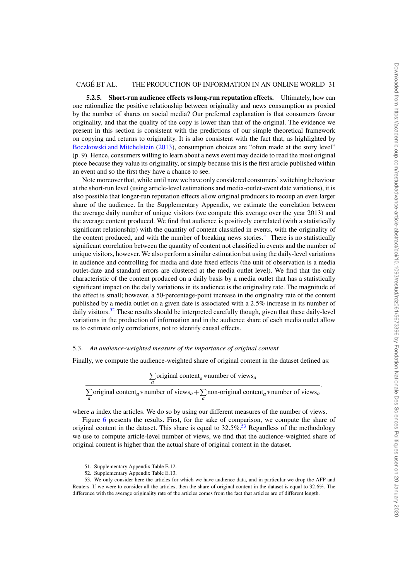**5.2.5. Short-run audience effects vs long-run reputation effects.** Ultimately, how can one rationalize the positive relationship between originality and news consumption as proxied by the number of shares on social media? Our preferred explanation is that consumers favour originality, and that the quality of the copy is lower than that of the original. The evidence we present in this section is consistent with the predictions of our simple theoretical framework on copying and returns to originality. It is also consistent with the fact that, as highlighted by Boczkowski and Mitchelstein (2013), consumption choices are "often made at the story level" (p. 9). Hence, consumers willing to learn about a news event may decide to read the most original piece because they value its originality, or simply because this is the first article published within an event and so the first they have a chance to see.

Note moreover that, while until now we have only considered consumers' switching behaviour at the short-run level (using article-level estimations and media-outlet-event date variations), it is also possible that longer-run reputation effects allow original producers to recoup an even larger share of the audience. In the Supplementary Appendix, we estimate the correlation between the average daily number of unique visitors (we compute this average over the year 2013) and the average content produced. We find that audience is positively correlated (with a statistically significant relationship) with the quantity of content classified in events, with the originality of the content produced, and with the number of breaking news stories.<sup>51</sup> There is no statistically significant correlation between the quantity of content not classified in events and the number of unique visitors, however. We also perform a similar estimation but using the daily-level variations in audience and controlling for media and date fixed effects (the unit of observation is a media outlet-date and standard errors are clustered at the media outlet level). We find that the only characteristic of the content produced on a daily basis by a media outlet that has a statistically significant impact on the daily variations in its audience is the originality rate. The magnitude of the effect is small; however, a 50-percentage-point increase in the originality rate of the content published by a media outlet on a given date is associated with a 2.5% increase in its number of daily visitors.<sup>52</sup> These results should be interpreted carefully though, given that these daily-level variations in the production of information and in the audience share of each media outlet allow us to estimate only correlations, not to identify causal effects.

#### 5.3. *An audience-weighted measure of the importance of original content*

Finally, we compute the audience-weighted share of original content in the dataset defined as:

$$
\sum_{a}
$$
 original content<sub>a</sub> \* number of views<sub>a</sub>

$$
\int_{a}^{a} \frac{a}{\sqrt{a}} \text{original content}_{a} \ast \text{number of views}_{a} + \sum_{a} \text{non-original content}_{a} \ast \text{number of views}_{a}
$$

where *a* index the articles. We do so by using our different measures of the number of views.

Figure 6 presents the results. First, for the sake of comparison, we compute the share of original content in the dataset. This share is equal to  $32.5\%$ .<sup>53</sup> Regardless of the methodology we use to compute article-level number of views, we find that the audience-weighted share of original content is higher than the actual share of original content in the dataset.

<sup>51.</sup> Supplementary Appendix Table E.12.

<sup>52.</sup> Supplementary Appendix Table E.13.

<sup>53.</sup> We only consider here the articles for which we have audience data, and in particular we drop the AFP and Reuters. If we were to consider all the articles, then the share of original content in the dataset is equal to 32.6%. The difference with the average originality rate of the articles comes from the fact that articles are of different length.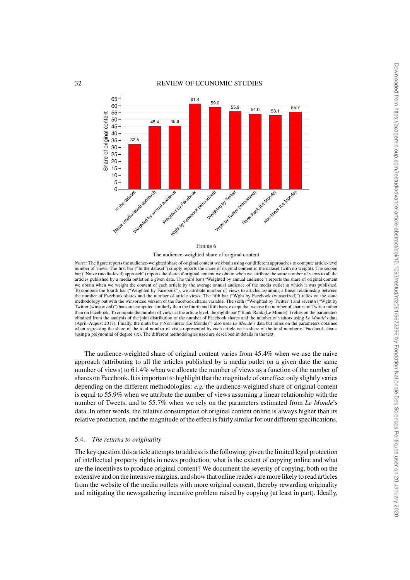

*Notes:* The figure reports the audience-weighted share of original content we obtain using our different approaches to compute article-level number of views. The first bar ("In the dataset") simply reports the share of original content in the dataset (with no weight). The second bar ("Naive (media-level) approach") reports the share of original content we obtain when we attribute the same number of views to all the articles published by a media outlet on a given date. The third bar ("Weighted by annual audience") reports the share of original content we obtain when we weight the content of each article by the average annual audience of the media outlet in which it was published. To compute the fourth bar ("Weighted by Facebook"), we attribute number of views to articles assuming a linear relationship between the number of Facebook shares and the number of article views. The fifth bar ("Wght by Facebook (winsorized)") relies on the same methodology but with the winsorized version of the Facebook shares variable. The sixth ("Weighted by Twitter") and seventh ("Wght by Twitter (winsorized)") bars are computed similarly than the fourth and fifth bars, except that we use the number of shares on Twitter rather than on Facebook. To compute the number of views at the article level, the eighth bar ("Rank-Rank (Le Monde)") relies on the parameters obtained from the analysis of the joint distribution of the number of Facebook shares and the number of visitors using Le Monde's data<br>(April–August 2017). Finally, the ninth bar ("Non-linear (Le Monde)") also uses Le Mond when regressing the share of the total number of visits represented by each article on its share of the total number of Facebook shares (using a polynomial of degree six). The different methodologies used are described in details in the text.

The audience-weighted share of original content varies from 45.4% when we use the naive approach (attributing to all the articles published by a media outlet on a given date the same number of views) to 61.4% when we allocate the number of views as a function of the number of shares on Facebook. It is important to highlight that the magnitude of our effect only slightly varies depending on the different methodologies: *e.g.* the audience-weighted share of original content is equal to 55.9% when we attribute the number of views assuming a linear relationship with the number of Tweets, and to 55.7% when we rely on the parameters estimated from *Le Monde*'s data. In other words, the relative consumption of original content online is always higher than its relative production, and the magnitude of the effect is fairly similar for our different specifications.

#### 5.4. *The returns to originality*

The key question this article attempts to address is the following: given the limited legal protection of intellectual property rights in news production, what is the extent of copying online and what are the incentives to produce original content? We document the severity of copying, both on the extensive and on the intensive margins, and show that online readers are more likely to read articles from the website of the media outlets with more original content, thereby rewarding originality and mitigating the newsgathering incentive problem raised by copying (at least in part). Ideally,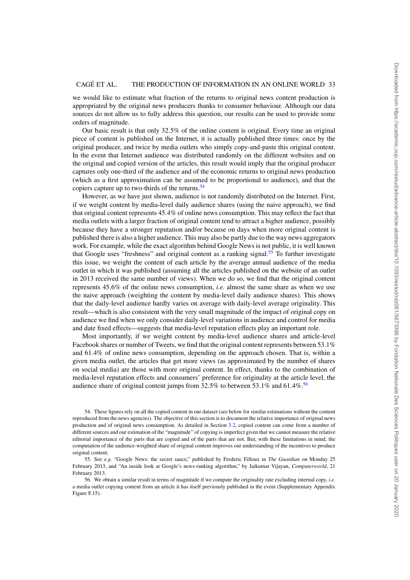we would like to estimate what fraction of the returns to original news content production is appropriated by the original news producers thanks to consumer behaviour. Although our data sources do not allow us to fully address this question, our results can be used to provide some orders of magnitude.

Our basic result is that only 32.5% of the online content is original. Every time an original piece of content is published on the Internet, it is actually published three times: once by the original producer, and twice by media outlets who simply copy-and-paste this original content. In the event that Internet audience was distributed randomly on the different websites and on the original and copied version of the articles, this result would imply that the original producer captures only one-third of the audience and of the economic returns to original news production (which as a first approximation can be assumed to be proportional to audience), and that the copiers capture up to two-thirds of the returns.<sup>54</sup>

However, as we have just shown, audience is not randomly distributed on the Internet. First, if we weight content by media-level daily audience shares (using the naive approach), we find that original content represents 45.4% of online news consumption. This may reflect the fact that media outlets with a larger fraction of original content tend to attract a higher audience, possibly because they have a stronger reputation and/or because on days when more original content is published there is also a higher audience. This may also be partly due to the way news aggregators work. For example, while the exact algorithm behind Google News is not public, it is well known that Google uses "freshness" and original content as a ranking signal.<sup>55</sup> To further investigate this issue, we weight the content of each article by the average annual audience of the media outlet in which it was published (assuming all the articles published on the website of an outlet in 2013 received the same number of views). When we do so, we find that the original content represents 45.6% of the online news consumption, *i.e.* almost the same share as when we use the naive approach (weighting the content by media-level daily audience shares). This shows that the daily-level audience hardly varies on average with daily-level average originality. This result—which is also consistent with the very small magnitude of the impact of original copy on audience we find when we only consider daily-level variations in audience and control for media and date fixed effects—suggests that media-level reputation effects play an important role.

Most importantly, if we weight content by media-level audience shares and article-level Facebook shares or number of Tweets, we find that the original content represents between 53.1% and 61.4% of online news consumption, depending on the approach chosen. That is, within a given media outlet, the articles that get more views (as approximated by the number of shares on social media) are those with more original content. In effect, thanks to the combination of media-level reputation effects and consumers' preference for originality at the article level, the audience share of original content jumps from  $32.5\%$  to between  $53.1\%$  and  $61.4\%$ .<sup>56</sup>

54. These figures rely on all the copied content in our dataset (see below for similar estimations without the content reproduced from the news agencies). The objective of this section is to document the relative importance of original news production and of original news consumption. As detailed in Section 3.2, copied content can come from a number of different sources and our estimation of the "magnitude" of copying is imperfect given that we cannot measure the relative editorial importance of the parts that are copied and of the parts that are not. But, with these limitations in mind, the computation of the audience-weighted share of original content improves our understanding of the incentives to produce original content.

56. We obtain a similar result in terms of magnitude if we compute the originality rate excluding internal copy, *i.e.* a media outlet copying content from an article it has itself previously published in the event (Supplementary Appendix Figure F.15).

<sup>55.</sup> See *e.g.* "Google News: the secret sauce," published by Frederic Filloux in *The Guardian* on Monday 25 February 2013, and "An inside look at Google's news-ranking algorithm," by Jaikumar Vijayan, *Computerworld*, 21 February 2013.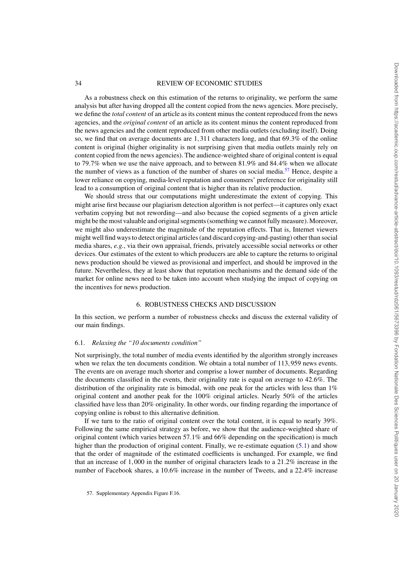As a robustness check on this estimation of the returns to originality, we perform the same analysis but after having dropped all the content copied from the news agencies. More precisely, we define the *total content* of an article as its content minus the content reproduced from the news agencies, and the *original content* of an article as its content minus the content reproduced from the news agencies and the content reproduced from other media outlets (excluding itself). Doing so, we find that on average documents are 1,311 characters long, and that 69.3% of the online content is original (higher originality is not surprising given that media outlets mainly rely on content copied from the news agencies). The audience-weighted share of original content is equal to 79.7% when we use the naive approach, and to between 81.9% and 84.4% when we allocate the number of views as a function of the number of shares on social media.<sup>57</sup> Hence, despite a lower reliance on copying, media-level reputation and consumers' preference for originality still lead to a consumption of original content that is higher than its relative production.

We should stress that our computations might underestimate the extent of copying. This might arise first because our plagiarism detection algorithm is not perfect—it captures only exact verbatim copying but not rewording—and also because the copied segments of a given article might be the most valuable and original segments (something we cannot fully measure). Moreover, we might also underestimate the magnitude of the reputation effects. That is, Internet viewers might well find ways to detect original articles (and discard copying-and-pasting) other than social media shares, *e.g.*, via their own appraisal, friends, privately accessible social networks or other devices. Our estimates of the extent to which producers are able to capture the returns to original news production should be viewed as provisional and imperfect, and should be improved in the future. Nevertheless, they at least show that reputation mechanisms and the demand side of the market for online news need to be taken into account when studying the impact of copying on the incentives for news production.

#### 6. ROBUSTNESS CHECKS AND DISCUSSION

In this section, we perform a number of robustness checks and discuss the external validity of our main findings.

#### 6.1. *Relaxing the "10 documents condition"*

Not surprisingly, the total number of media events identified by the algorithm strongly increases when we relax the ten documents condition. We obtain a total number of 113,959 news events. The events are on average much shorter and comprise a lower number of documents. Regarding the documents classified in the events, their originality rate is equal on average to 42.6%. The distribution of the originality rate is bimodal, with one peak for the articles with less than 1% original content and another peak for the 100% original articles. Nearly 50% of the articles classified have less than 20% originality. In other words, our finding regarding the importance of copying online is robust to this alternative definition.

If we turn to the ratio of original content over the total content, it is equal to nearly 39%. Following the same empirical strategy as before, we show that the audience-weighted share of original content (which varies between 57.1% and 66% depending on the specification) is much higher than the production of original content. Finally, we re-estimate equation (5.1) and show that the order of magnitude of the estimated coefficients is unchanged. For example, we find that an increase of 1,000 in the number of original characters leads to a 21.2% increase in the number of Facebook shares, a 10.6% increase in the number of Tweets, and a 22.4% increase

<sup>57.</sup> Supplementary Appendix Figure F.16.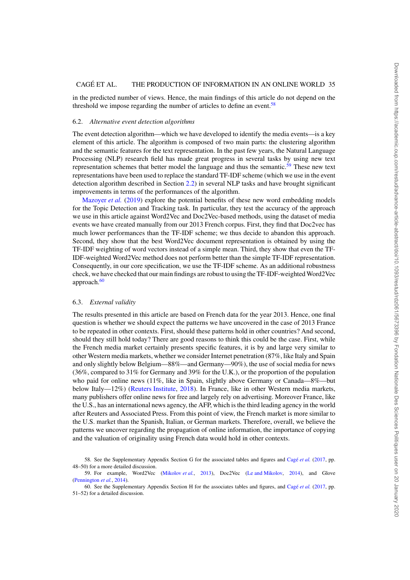in the predicted number of views. Hence, the main findings of this article do not depend on the threshold we impose regarding the number of articles to define an event.<sup>58</sup>

#### 6.2. *Alternative event detection algorithms*

The event detection algorithm—which we have developed to identify the media events—is a key element of this article. The algorithm is composed of two main parts: the clustering algorithm and the semantic features for the text representation. In the past few years, the Natural Language Processing (NLP) research field has made great progress in several tasks by using new text representation schemes that better model the language and thus the semantic.<sup>59</sup> These new text representations have been used to replace the standard TF-IDF scheme (which we use in the event detection algorithm described in Section 2.2) in several NLP tasks and have brought significant improvements in terms of the performances of the algorithm.

Mazoyer *et al.* (2019) explore the potential benefits of these new word embedding models for the Topic Detection and Tracking task. In particular, they test the accuracy of the approach we use in this article against Word2Vec and Doc2Vec-based methods, using the dataset of media events we have created manually from our 2013 French corpus. First, they find that Doc2vec has much lower performances than the TF-IDF scheme; we thus decide to abandon this approach. Second, they show that the best Word2Vec document representation is obtained by using the TF-IDF weighting of word vectors instead of a simple mean. Third, they show that even the TF-IDF-weighted Word2Vec method does not perform better than the simple TF-IDF representation. Consequently, in our core specification, we use the TF-IDF scheme. As an additional robustness check, we have checked that our main findings are robust to using the TF-IDF-weighted Word2Vec approach.<sup>60</sup>

#### 6.3. *External validity*

The results presented in this article are based on French data for the year 2013. Hence, one final question is whether we should expect the patterns we have uncovered in the case of 2013 France to be repeated in other contexts. First, should these patterns hold in other countries? And second, should they still hold today? There are good reasons to think this could be the case. First, while the French media market certainly presents specific features, it is by and large very similar to other Western media markets, whether we consider Internet penetration (87%, like Italy and Spain and only slightly below Belgium—88%—and Germany—90%), the use of social media for news (36%, compared to 31% for Germany and 39% for the U.K.), or the proportion of the population who paid for online news (11%, like in Spain, slightly above Germany or Canada—8%—but below Italy—12%) (Reuters Institute, 2018). In France, like in other Western media markets, many publishers offer online news for free and largely rely on advertising. Moreover France, like the U.S., has an international news agency, the AFP, which is the third leading agency in the world after Reuters and Associated Press. From this point of view, the French market is more similar to the U.S. market than the Spanish, Italian, or German markets. Therefore, overall, we believe the patterns we uncover regarding the propagation of online information, the importance of copying and the valuation of originality using French data would hold in other contexts.

<sup>58.</sup> See the Supplementary Appendix Section G for the associated tables and figures and Cagé *et al.* (2017, pp. 48–50) for a more detailed discussion.

<sup>59.</sup> For example, Word2Vec (Mikolov *et al.*, 2013), Doc2Vec (Le and Mikolov, 2014), and Glove (Pennington *et al.*, 2014).

<sup>60.</sup> See the Supplementary Appendix Section H for the associates tables and figures, and Cagé *et al.* (2017, pp. 51–52) for a detailed discussion.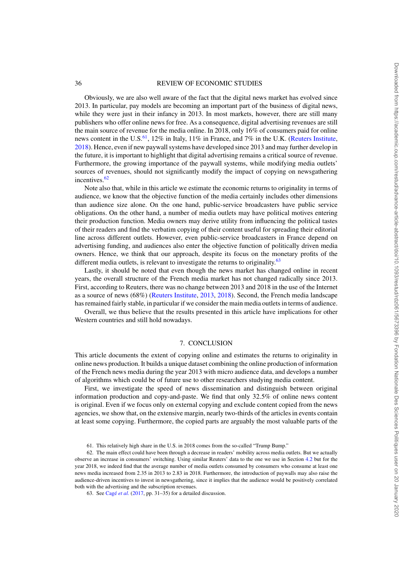Obviously, we are also well aware of the fact that the digital news market has evolved since 2013. In particular, pay models are becoming an important part of the business of digital news, while they were just in their infancy in 2013. In most markets, however, there are still many publishers who offer online news for free. As a consequence, digital advertising revenues are still the main source of revenue for the media online. In 2018, only 16% of consumers paid for online news content in the U.S. $^{61}$ , 12% in Italy, 11% in France, and 7% in the U.K. (Reuters Institute, 2018). Hence, even if new paywall systems have developed since 2013 and may further develop in the future, it is important to highlight that digital advertising remains a critical source of revenue. Furthermore, the growing importance of the paywall systems, while modifying media outlets' sources of revenues, should not significantly modify the impact of copying on newsgathering incentives.<sup>62</sup>

Note also that, while in this article we estimate the economic returns to originality in terms of audience, we know that the objective function of the media certainly includes other dimensions than audience size alone. On the one hand, public-service broadcasters have public service obligations. On the other hand, a number of media outlets may have political motives entering their production function. Media owners may derive utility from influencing the political tastes of their readers and find the verbatim copying of their content useful for spreading their editorial line across different outlets. However, even public-service broadcasters in France depend on advertising funding, and audiences also enter the objective function of politically driven media owners. Hence, we think that our approach, despite its focus on the monetary profits of the different media outlets, is relevant to investigate the returns to originality.<sup>63</sup>

Lastly, it should be noted that even though the news market has changed online in recent years, the overall structure of the French media market has not changed radically since 2013. First, according to Reuters, there was no change between 2013 and 2018 in the use of the Internet as a source of news (68%) (Reuters Institute, 2013, 2018). Second, the French media landscape has remained fairly stable, in particular if we consider the main media outlets in terms of audience.

Overall, we thus believe that the results presented in this article have implications for other Western countries and still hold nowadays.

#### 7. CONCLUSION

This article documents the extent of copying online and estimates the returns to originality in online news production. It builds a unique dataset combining the online production of information of the French news media during the year 2013 with micro audience data, and develops a number of algorithms which could be of future use to other researchers studying media content.

First, we investigate the speed of news dissemination and distinguish between original information production and copy-and-paste. We find that only 32.5% of online news content is original. Even if we focus only on external copying and exclude content copied from the news agencies, we show that, on the extensive margin, nearly two-thirds of the articles in events contain at least some copying. Furthermore, the copied parts are arguably the most valuable parts of the

<sup>61.</sup> This relatively high share in the U.S. in 2018 comes from the so-called "Trump Bump."

<sup>62.</sup> The main effect could have been through a decrease in readers' mobility across media outlets. But we actually observe an increase in consumers' switching. Using similar Reuters' data to the one we use in Section 4.2 but for the year 2018, we indeed find that the average number of media outlets consumed by consumers who consume at least one news media increased from 2.35 in 2013 to 2.83 in 2018. Furthermore, the introduction of paywalls may also raise the audience-driven incentives to invest in newsgathering, since it implies that the audience would be positively correlated both with the advertising and the subscription revenues.

<sup>63.</sup> See Cagé *et al.* (2017, pp. 31–35) for a detailed discussion.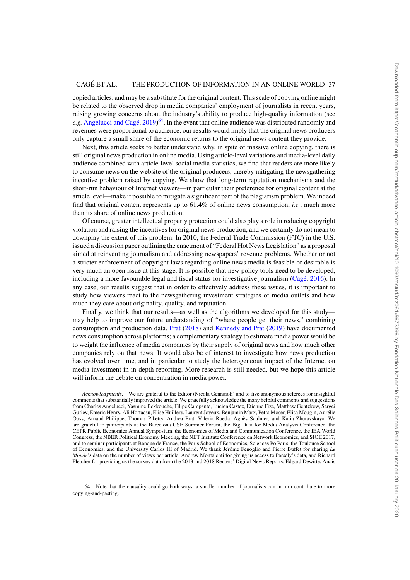copied articles, and may be a substitute for the original content. This scale of copying online might be related to the observed drop in media companies' employment of journalists in recent years, raising growing concerns about the industry's ability to produce high-quality information (see *e.g.* Angelucci and Cagé, 2019) 64. In the event that online audience was distributed randomly and revenues were proportional to audience, our results would imply that the original news producers only capture a small share of the economic returns to the original news content they provide.

Next, this article seeks to better understand why, in spite of massive online copying, there is still original news production in online media. Using article-level variations and media-level daily audience combined with article-level social media statistics, we find that readers are more likely to consume news on the website of the original producers, thereby mitigating the newsgathering incentive problem raised by copying. We show that long-term reputation mechanisms and the short-run behaviour of Internet viewers—in particular their preference for original content at the article level—make it possible to mitigate a significant part of the plagiarism problem. We indeed find that original content represents up to 61.4% of online news consumption, *i.e.*, much more than its share of online news production.

Of course, greater intellectual property protection could also play a role in reducing copyright violation and raising the incentives for original news production, and we certainly do not mean to downplay the extent of this problem. In 2010, the Federal Trade Commission (FTC) in the U.S. issued a discussion paper outlining the enactment of "Federal Hot News Legislation" as a proposal aimed at reinventing journalism and addressing newspapers' revenue problems. Whether or not a stricter enforcement of copyright laws regarding online news media is feasible or desirable is very much an open issue at this stage. It is possible that new policy tools need to be developed, including a more favourable legal and fiscal status for investigative journalism (Cagé, 2016). In any case, our results suggest that in order to effectively address these issues, it is important to study how viewers react to the newsgathering investment strategies of media outlets and how much they care about originality, quality, and reputation.

Finally, we think that our results—as well as the algorithms we developed for this study may help to improve our future understanding of "where people get their news," combining consumption and production data. Prat (2018) and Kennedy and Prat (2019) have documented news consumption across platforms; a complementary strategy to estimate media power would be to weight the influence of media companies by their supply of original news and how much other companies rely on that news. It would also be of interest to investigate how news production has evolved over time, and in particular to study the heterogeneous impact of the Internet on media investment in in-depth reporting. More research is still needed, but we hope this article will inform the debate on concentration in media power.

*Acknowledgments*. We are grateful to the Editor (Nicola Gennaioli) and to five anonymous referees for insightful comments that substantially improved the article. We gratefully acknowledge the many helpful comments and suggestions from Charles Angelucci, Yasmine Bekkouche, Filipe Campante, Lucien Castex, Etienne Fize, Matthew Gentzkow, Sergei Guriev, Emeric Henry, Ali Hortacsu, Elise Huillery, Laurent Joyeux, Benjamin Marx, Petra Moser, Elisa Mougin, Aurélie Ouss, Arnaud Philippe, Thomas Piketty, Andrea Prat, Valeria Rueda, Agnès Saulnier, and Katia Zhuravskaya. We are grateful to participants at the Barcelona GSE Summer Forum, the Big Data for Media Analysis Conference, the CEPR Public Economics Annual Symposium, the Economics of Media and Communication Conference, the IEA World Congress, the NBER Political Economy Meeting, the NET Institute Conference on Network Economics, and SIOE 2017, and to seminar participants at Banque de France, the Paris School of Economics, Sciences Po Paris, the Toulouse School of Economics, and the University Carlos III of Madrid. We thank Jérôme Fenoglio and Pierre Buffet for sharing *Le Monde*'s data on the number of views per article, Andrew Montalenti for giving us access to Parsely's data, and Richard Fletcher for providing us the survey data from the 2013 and 2018 Reuters' Digital News Reports. Edgard Dewitte, Anais

64. Note that the causality could go both ways: a smaller number of journalists can in turn contribute to more copying-and-pasting.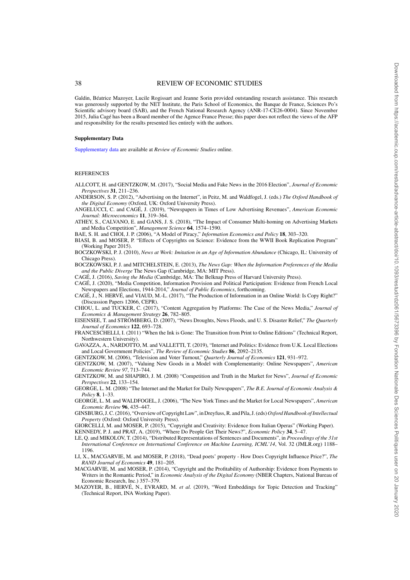Galdin, Béatrice Mazoyer, Lucile Rogissart and Jeanne Sorin provided outstanding research assistance. This research was generously supported by the NET Institute, the Paris School of Economics, the Banque de France, Sciences Po's Scientific advisory board (SAB), and the French National Research Agency (ANR-17-CE26-0004). Since November 2015, Julia Cagé has been a Board member of the Agence France Presse; this paper does not reflect the views of the AFP and responsibility for the results presented lies entirely with the authors.

#### **Supplementary Data**

[Supplementary data](https://academic.oup.com/restud/article-lookup/doi/10.1093/restud/rdz061#supplementary-data) are available at *Review of Economic Studies* online.

#### REFERENCES

ALLCOTT, H. and GENTZKOW, M. (2017), "Social Media and Fake News in the 2016 Election", *Journal of Economic Perspectives* **31**, 211–236.

ANDERSON, S. P. (2012), "Advertising on the Internet", in Peitz, M. and Waldfogel, J. (eds.) *The Oxford Handbook of the Digital Economy* (Oxford, UK: Oxford University Press).

- ANGELUCCI, C. and CAGÉ, J. (2019), "Newspapers in Times of Low Advertising Revenues", *American Economic Journal: Microeconomics* **11**, 319–364.
- ATHEY, S., CALVANO, E. and GANS, J. S. (2018), "The Impact of Consumer Multi-homing on Advertising Markets and Media Competition", *Management Science* **64**, 1574–1590.

BAE, S. H. and CHOI, J. P. (2006), "A Model of Piracy," *Information Economics and Policy* **18**, 303–320.

BIASI, B. and MOSER, P. "Effects of Copyrights on Science: Evidence from the WWII Book Replication Program" (Working Paper 2015).

BOCZKOWSKI, P. J. (2010), *News at Work: Imitation in an Age of Information Abundance* (Chicago, IL: University of Chicago Press).

BOCZKOWSKI, P. J. and MITCHELSTEIN, E. (2013), *The News Gap: When the Information Preferences of the Media and the Public Diverge* The News Gap (Cambridge, MA: MIT Press).

CAGÉ, J. (2016), *Saving the Media* (Cambridge, MA: The Belknap Press of Harvard University Press).

CAGÉ, J. (2020), "Media Competition, Information Provision and Political Participation: Evidence from French Local Newspapers and Elections, 1944-2014," *Journal of Public Economics*, forthcoming.

CAGÉ, J., N. HERVÉ, and VIAUD, M.-L. (2017), "The Production of Information in an Online World: Is Copy Right?" (Discussion Papers 12066, CEPR).

CHIOU, L. and TUCKER, C. (2017), "Content Aggregation by Platforms: The Case of the News Media," *Journal of Economics & Management Strategy* **26**, 782–805.

- EISENSEE, T. and STRÖMBERG, D. (2007), "News Droughts, News Floods, and U. S. Disaster Relief," *The Quarterly Journal of Economics* **122**, 693–728.
- FRANCESCHELLI, I. (2011) "When the Ink is Gone: The Transition from Print to Online Editions" (Technical Report, Northwestern University).

GAVAZZA, A., NARDOTTO, M. and VALLETTI, T. (2019), "Internet and Politics: Evidence from U.K. Local Elections and Local Government Policies", *The Review of Economic Studies* **86**, 2092–2135.

GENTZKOW, M. (2006), "Television and Voter Turnout," *Quarterly Journal of Economics* **121**, 931–972.

GENTZKOW, M. (2007), "Valuing New Goods in a Model with Complementarity: Online Newspapers", *American Economic Review 97*, 713–744.

GENTZKOW, M. and SHAPIRO, J. M. (2008) "Competition and Truth in the Market for News", *Journal of Economic Perspectives* **22**, 133–154.

GEORGE, L. M. (2008) "The Internet and the Market for Daily Newspapers", *The B.E. Journal of Economic Analysis & Policy* **8**, 1–33.

GEORGE, L. M. and WALDFOGEL, J. (2006), "The New York Times and the Market for Local Newspapers", *American Economic Review* **96**, 435–447.

GINSBURG, J. C. (2016), "Overview of Copyright Law", in Dreyfuss, R. and Pila, J. (eds) *Oxford Handbook of Intellectual Property* (Oxford: Oxford University Press).

GIORCELLI, M. and MOSER, P. (2015), "Copyright and Creativity: Evidence from Italian Operas" (Working Paper). KENNEDY, P. J. and PRAT, A. (2019), "Where Do People Get Their News?", *Economic Policy* **34**, 5–47.

LE, Q. and MIKOLOV, T. (2014), "Distributed Representations of Sentences and Documents", in *Proceedings of the 31st International Conference on International Conference on Machine Learning, ICML'14*, Vol. 32 (JMLR.org) 1188– 1196.

- LI, X., MACGARVIE, M. and MOSER, P. (2018), "Dead poets' property How Does Copyright Influence Price?", *The RAND Journal of Economics* **49**, 181–205.
- MACGARVIE, M. and MOSER, P. (2014), "Copyright and the Profitability of Authorship: Evidence from Payments to Writers in the Romantic Period," in *Economic Analysis of the Digital Economy* (NBER Chapters, National Bureau of Economic Research, Inc.) 357–379.
- MAZOYER, B., HERVÉ, N., EVRARD, M. *et al.* (2019), "Word Embeddings for Topic Detection and Tracking" (Technical Report, INA Working Paper).